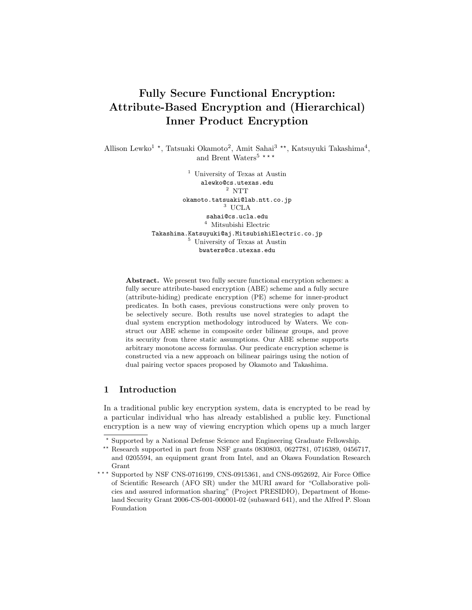# Fully Secure Functional Encryption: Attribute-Based Encryption and (Hierarchical) Inner Product Encryption

Allison Lewko<sup>1</sup> \*, Tatsuaki Okamoto<sup>2</sup>, Amit Sahai<sup>3</sup> \*\*, Katsuyuki Takashima<sup>4</sup>, and Brent Waters<br>5  $\star\star\star$ 

> <sup>1</sup> University of Texas at Austin alewko@cs.utexas.edu  $^2\,$  NTT okamoto.tatsuaki@lab.ntt.co.jp <sup>3</sup> UCLA sahai@cs.ucla.edu  $^4\,$  Mitsubishi Electric Takashima.Katsuyuki@aj.MitsubishiElectric.co.jp <sup>5</sup> University of Texas at Austin bwaters@cs.utexas.edu

Abstract. We present two fully secure functional encryption schemes: a fully secure attribute-based encryption (ABE) scheme and a fully secure (attribute-hiding) predicate encryption (PE) scheme for inner-product predicates. In both cases, previous constructions were only proven to be selectively secure. Both results use novel strategies to adapt the dual system encryption methodology introduced by Waters. We construct our ABE scheme in composite order bilinear groups, and prove its security from three static assumptions. Our ABE scheme supports arbitrary monotone access formulas. Our predicate encryption scheme is constructed via a new approach on bilinear pairings using the notion of dual pairing vector spaces proposed by Okamoto and Takashima.

# 1 Introduction

In a traditional public key encryption system, data is encrypted to be read by a particular individual who has already established a public key. Functional encryption is a new way of viewing encryption which opens up a much larger

<sup>?</sup> Supported by a National Defense Science and Engineering Graduate Fellowship.

<sup>\*\*</sup> Research supported in part from NSF grants 0830803, 0627781, 0716389, 0456717, and 0205594, an equipment grant from Intel, and an Okawa Foundation Research Grant

<sup>\*\*\*</sup> Supported by NSF CNS-0716199, CNS-0915361, and CNS-0952692, Air Force Office of Scientific Research (AFO SR) under the MURI award for "Collaborative policies and assured information sharing" (Project PRESIDIO), Department of Homeland Security Grant 2006-CS-001-000001-02 (subaward 641), and the Alfred P. Sloan Foundation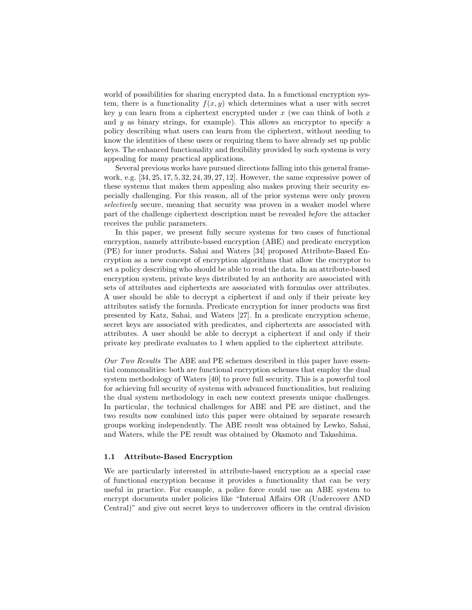world of possibilities for sharing encrypted data. In a functional encryption system, there is a functionality  $f(x, y)$  which determines what a user with secret key y can learn from a ciphertext encrypted under  $x$  (we can think of both  $x$ ) and  $y$  as binary strings, for example). This allows an encryptor to specify a policy describing what users can learn from the ciphertext, without needing to know the identities of these users or requiring them to have already set up public keys. The enhanced functionality and flexibility provided by such systems is very appealing for many practical applications.

Several previous works have pursued directions falling into this general framework, e.g. [34, 25, 17, 5, 32, 24, 39, 27, 12]. However, the same expressive power of these systems that makes them appealing also makes proving their security especially challenging. For this reason, all of the prior systems were only proven selectively secure, meaning that security was proven in a weaker model where part of the challenge ciphertext description must be revealed before the attacker receives the public parameters.

In this paper, we present fully secure systems for two cases of functional encryption, namely attribute-based encryption (ABE) and predicate encryption (PE) for inner products. Sahai and Waters [34] proposed Attribute-Based Encryption as a new concept of encryption algorithms that allow the encryptor to set a policy describing who should be able to read the data. In an attribute-based encryption system, private keys distributed by an authority are associated with sets of attributes and ciphertexts are associated with formulas over attributes. A user should be able to decrypt a ciphertext if and only if their private key attributes satisfy the formula. Predicate encryption for inner products was first presented by Katz, Sahai, and Waters [27]. In a predicate encryption scheme, secret keys are associated with predicates, and ciphertexts are associated with attributes. A user should be able to decrypt a ciphertext if and only if their private key predicate evaluates to 1 when applied to the ciphertext attribute.

Our Two Results The ABE and PE schemes described in this paper have essential commonalities: both are functional encryption schemes that employ the dual system methodology of Waters [40] to prove full security. This is a powerful tool for achieving full security of systems with advanced functionalities, but realizing the dual system methodology in each new context presents unique challenges. In particular, the technical challenges for ABE and PE are distinct, and the two results now combined into this paper were obtained by separate research groups working independently. The ABE result was obtained by Lewko, Sahai, and Waters, while the PE result was obtained by Okamoto and Takashima.

## 1.1 Attribute-Based Encryption

We are particularly interested in attribute-based encryption as a special case of functional encryption because it provides a functionality that can be very useful in practice. For example, a police force could use an ABE system to encrypt documents under policies like "Internal Affairs OR (Undercover AND Central)" and give out secret keys to undercover officers in the central division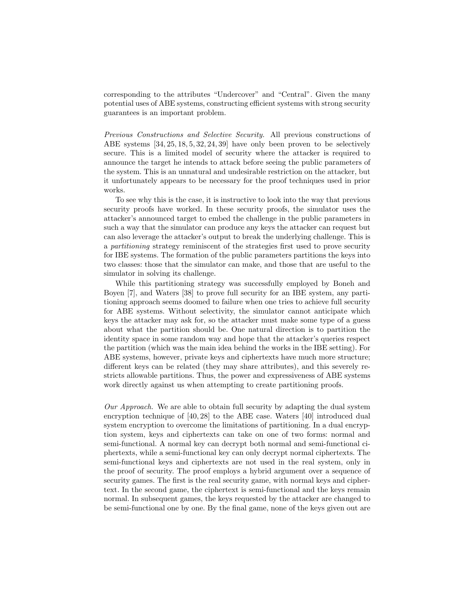corresponding to the attributes "Undercover" and "Central". Given the many potential uses of ABE systems, constructing efficient systems with strong security guarantees is an important problem.

Previous Constructions and Selective Security. All previous constructions of ABE systems [34, 25, 18, 5, 32, 24, 39] have only been proven to be selectively secure. This is a limited model of security where the attacker is required to announce the target he intends to attack before seeing the public parameters of the system. This is an unnatural and undesirable restriction on the attacker, but it unfortunately appears to be necessary for the proof techniques used in prior works.

To see why this is the case, it is instructive to look into the way that previous security proofs have worked. In these security proofs, the simulator uses the attacker's announced target to embed the challenge in the public parameters in such a way that the simulator can produce any keys the attacker can request but can also leverage the attacker's output to break the underlying challenge. This is a partitioning strategy reminiscent of the strategies first used to prove security for IBE systems. The formation of the public parameters partitions the keys into two classes: those that the simulator can make, and those that are useful to the simulator in solving its challenge.

While this partitioning strategy was successfully employed by Boneh and Boyen [7], and Waters [38] to prove full security for an IBE system, any partitioning approach seems doomed to failure when one tries to achieve full security for ABE systems. Without selectivity, the simulator cannot anticipate which keys the attacker may ask for, so the attacker must make some type of a guess about what the partition should be. One natural direction is to partition the identity space in some random way and hope that the attacker's queries respect the partition (which was the main idea behind the works in the IBE setting). For ABE systems, however, private keys and ciphertexts have much more structure; different keys can be related (they may share attributes), and this severely restricts allowable partitions. Thus, the power and expressiveness of ABE systems work directly against us when attempting to create partitioning proofs.

Our Approach. We are able to obtain full security by adapting the dual system encryption technique of [40, 28] to the ABE case. Waters [40] introduced dual system encryption to overcome the limitations of partitioning. In a dual encryption system, keys and ciphertexts can take on one of two forms: normal and semi-functional. A normal key can decrypt both normal and semi-functional ciphertexts, while a semi-functional key can only decrypt normal ciphertexts. The semi-functional keys and ciphertexts are not used in the real system, only in the proof of security. The proof employs a hybrid argument over a sequence of security games. The first is the real security game, with normal keys and ciphertext. In the second game, the ciphertext is semi-functional and the keys remain normal. In subsequent games, the keys requested by the attacker are changed to be semi-functional one by one. By the final game, none of the keys given out are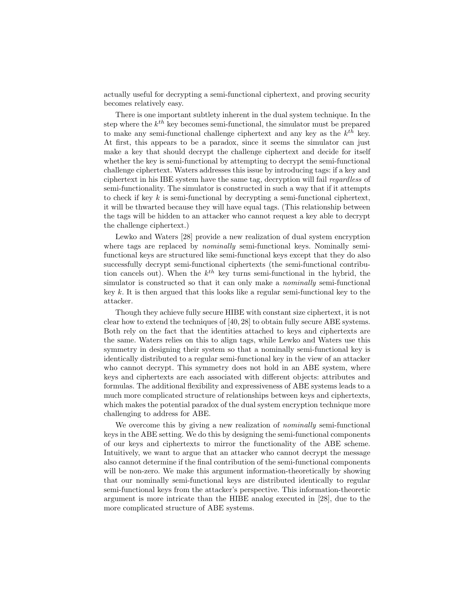actually useful for decrypting a semi-functional ciphertext, and proving security becomes relatively easy.

There is one important subtlety inherent in the dual system technique. In the step where the  $k^{th}$  key becomes semi-functional, the simulator must be prepared to make any semi-functional challenge ciphertext and any key as the  $k^{th}$  key. At first, this appears to be a paradox, since it seems the simulator can just make a key that should decrypt the challenge ciphertext and decide for itself whether the key is semi-functional by attempting to decrypt the semi-functional challenge ciphertext. Waters addresses this issue by introducing tags: if a key and ciphertext in his IBE system have the same tag, decryption will fail regardless of semi-functionality. The simulator is constructed in such a way that if it attempts to check if key  $k$  is semi-functional by decrypting a semi-functional ciphertext, it will be thwarted because they will have equal tags. (This relationship between the tags will be hidden to an attacker who cannot request a key able to decrypt the challenge ciphertext.)

Lewko and Waters [28] provide a new realization of dual system encryption where tags are replaced by *nominally* semi-functional keys. Nominally semifunctional keys are structured like semi-functional keys except that they do also successfully decrypt semi-functional ciphertexts (the semi-functional contribution cancels out). When the  $k^{th}$  key turns semi-functional in the hybrid, the simulator is constructed so that it can only make a nominally semi-functional key  $k$ . It is then argued that this looks like a regular semi-functional key to the attacker.

Though they achieve fully secure HIBE with constant size ciphertext, it is not clear how to extend the techniques of [40, 28] to obtain fully secure ABE systems. Both rely on the fact that the identities attached to keys and ciphertexts are the same. Waters relies on this to align tags, while Lewko and Waters use this symmetry in designing their system so that a nominally semi-functional key is identically distributed to a regular semi-functional key in the view of an attacker who cannot decrypt. This symmetry does not hold in an ABE system, where keys and ciphertexts are each associated with different objects: attributes and formulas. The additional flexibility and expressiveness of ABE systems leads to a much more complicated structure of relationships between keys and ciphertexts, which makes the potential paradox of the dual system encryption technique more challenging to address for ABE.

We overcome this by giving a new realization of *nominally* semi-functional keys in the ABE setting. We do this by designing the semi-functional components of our keys and ciphertexts to mirror the functionality of the ABE scheme. Intuitively, we want to argue that an attacker who cannot decrypt the message also cannot determine if the final contribution of the semi-functional components will be non-zero. We make this argument information-theoretically by showing that our nominally semi-functional keys are distributed identically to regular semi-functional keys from the attacker's perspective. This information-theoretic argument is more intricate than the HIBE analog executed in [28], due to the more complicated structure of ABE systems.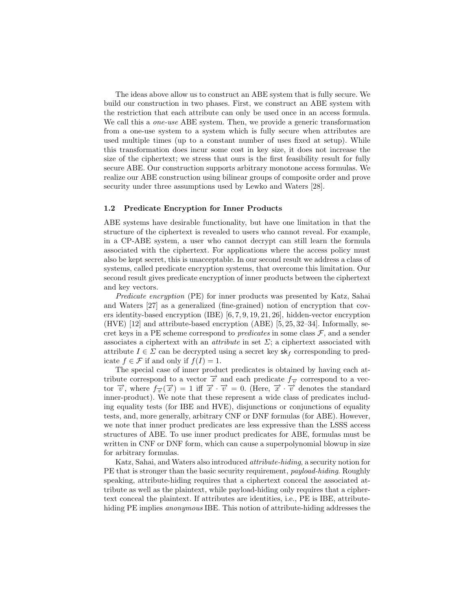The ideas above allow us to construct an ABE system that is fully secure. We build our construction in two phases. First, we construct an ABE system with the restriction that each attribute can only be used once in an access formula. We call this a *one-use* ABE system. Then, we provide a generic transformation from a one-use system to a system which is fully secure when attributes are used multiple times (up to a constant number of uses fixed at setup). While this transformation does incur some cost in key size, it does not increase the size of the ciphertext; we stress that ours is the first feasibility result for fully secure ABE. Our construction supports arbitrary monotone access formulas. We realize our ABE construction using bilinear groups of composite order and prove security under three assumptions used by Lewko and Waters [28].

#### 1.2 Predicate Encryption for Inner Products

ABE systems have desirable functionality, but have one limitation in that the structure of the ciphertext is revealed to users who cannot reveal. For example, in a CP-ABE system, a user who cannot decrypt can still learn the formula associated with the ciphertext. For applications where the access policy must also be kept secret, this is unacceptable. In our second result we address a class of systems, called predicate encryption systems, that overcome this limitation. Our second result gives predicate encryption of inner products between the ciphertext and key vectors.

Predicate encryption (PE) for inner products was presented by Katz, Sahai and Waters [27] as a generalized (fine-grained) notion of encryption that covers identity-based encryption (IBE) [6, 7, 9, 19, 21, 26], hidden-vector encryption (HVE) [12] and attribute-based encryption (ABE) [5, 25, 32–34]. Informally, secret keys in a PE scheme correspond to *predicates* in some class  $\mathcal{F}$ , and a sender associates a ciphertext with an *attribute* in set  $\Sigma$ ; a ciphertext associated with attribute  $I \in \Sigma$  can be decrypted using a secret key  $\mathsf{sk}_f$  corresponding to predicate  $f \in \mathcal{F}$  if and only if  $f(I) = 1$ .

The special case of inner product predicates is obtained by having each attribute correspond to a vector  $\vec{x}$  and each predicate  $f_{\vec{v}}$  correspond to a vector  $\vec{v}$ , where  $f_{\vec{v}}(\vec{x}) = 1$  iff  $\vec{x} \cdot \vec{v} = 0$ . (Here,  $\vec{x} \cdot \vec{v}$  denotes the standard inner-product). We note that these represent a wide class of predicates including equality tests (for IBE and HVE), disjunctions or conjunctions of equality tests, and, more generally, arbitrary CNF or DNF formulas (for ABE). However, we note that inner product predicates are less expressive than the LSSS access structures of ABE. To use inner product predicates for ABE, formulas must be written in CNF or DNF form, which can cause a superpolynomial blowup in size for arbitrary formulas.

Katz, Sahai, and Waters also introduced attribute-hiding, a security notion for PE that is stronger than the basic security requirement, payload-hiding. Roughly speaking, attribute-hiding requires that a ciphertext conceal the associated attribute as well as the plaintext, while payload-hiding only requires that a ciphertext conceal the plaintext. If attributes are identities, i.e., PE is IBE, attributehiding PE implies *anonymous* IBE. This notion of attribute-hiding addresses the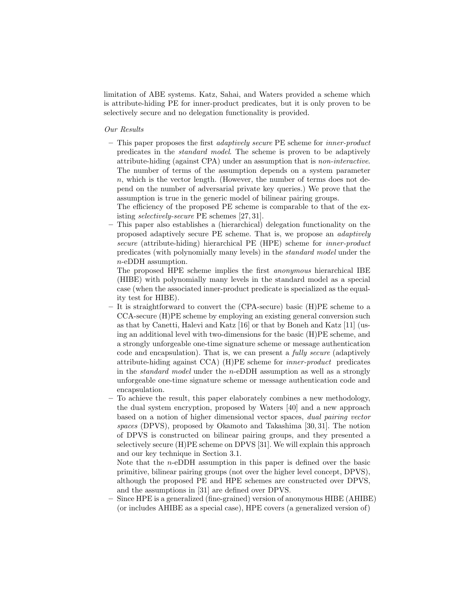limitation of ABE systems. Katz, Sahai, and Waters provided a scheme which is attribute-hiding PE for inner-product predicates, but it is only proven to be selectively secure and no delegation functionality is provided.

#### Our Results

- $-$  This paper proposes the first *adaptively secure* PE scheme for *inner-product* predicates in the standard model. The scheme is proven to be adaptively attribute-hiding (against CPA) under an assumption that is non-interactive. The number of terms of the assumption depends on a system parameter  $n$ , which is the vector length. (However, the number of terms does not depend on the number of adversarial private key queries.) We prove that the assumption is true in the generic model of bilinear pairing groups.
	- The efficiency of the proposed PE scheme is comparable to that of the existing selectively-secure PE schemes [27, 31].
- This paper also establishes a (hierarchical) delegation functionality on the proposed adaptively secure PE scheme. That is, we propose an adaptively secure (attribute-hiding) hierarchical PE (HPE) scheme for inner-product predicates (with polynomially many levels) in the standard model under the n-eDDH assumption.
	- The proposed HPE scheme implies the first anonymous hierarchical IBE (HIBE) with polynomially many levels in the standard model as a special case (when the associated inner-product predicate is specialized as the equality test for HIBE).
- It is straightforward to convert the (CPA-secure) basic (H)PE scheme to a CCA-secure (H)PE scheme by employing an existing general conversion such as that by Canetti, Halevi and Katz [16] or that by Boneh and Katz [11] (using an additional level with two-dimensions for the basic (H)PE scheme, and a strongly unforgeable one-time signature scheme or message authentication code and encapsulation). That is, we can present a fully secure (adaptively attribute-hiding against CCA) (H)PE scheme for inner-product predicates in the standard model under the n-eDDH assumption as well as a strongly unforgeable one-time signature scheme or message authentication code and encapsulation.
- To achieve the result, this paper elaborately combines a new methodology, the dual system encryption, proposed by Waters [40] and a new approach based on a notion of higher dimensional vector spaces, dual pairing vector spaces (DPVS), proposed by Okamoto and Takashima [30, 31]. The notion of DPVS is constructed on bilinear pairing groups, and they presented a selectively secure (H)PE scheme on DPVS [31]. We will explain this approach and our key technique in Section 3.1.
- Note that the n-eDDH assumption in this paper is defined over the basic primitive, bilinear pairing groups (not over the higher level concept, DPVS), although the proposed PE and HPE schemes are constructed over DPVS, and the assumptions in [31] are defined over DPVS.
- Since HPE is a generalized (fine-grained) version of anonymous HIBE (AHIBE) (or includes AHIBE as a special case), HPE covers (a generalized version of)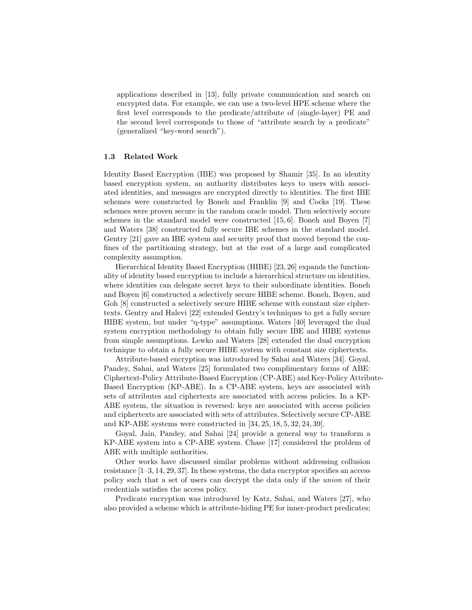applications described in [13], fully private communication and search on encrypted data. For example, we can use a two-level HPE scheme where the first level corresponds to the predicate/attribute of (single-layer) PE and the second level corresponds to those of "attribute search by a predicate" (generalized "key-word search").

## 1.3 Related Work

Identity Based Encryption (IBE) was proposed by Shamir [35]. In an identity based encryption system, an authority distributes keys to users with associated identities, and messages are encrypted directly to identities. The first IBE schemes were constructed by Boneh and Franklin [9] and Cocks [19]. These schemes were proven secure in the random oracle model. Then selectively secure schemes in the standard model were constructed [15, 6]. Boneh and Boyen [7] and Waters [38] constructed fully secure IBE schemes in the standard model. Gentry [21] gave an IBE system and security proof that moved beyond the confines of the partitioning strategy, but at the cost of a large and complicated complexity assumption.

Hierarchical Identity Based Encryption (HIBE) [23, 26] expands the functionality of identity based encryption to include a hierarchical structure on identities, where identities can delegate secret keys to their subordinate identities. Boneh and Boyen [6] constructed a selectively secure HIBE scheme. Boneh, Boyen, and Goh [8] constructed a selectively secure HIBE scheme with constant size ciphertexts. Gentry and Halevi [22] extended Gentry's techniques to get a fully secure HIBE system, but under "q-type" assumptions. Waters [40] leveraged the dual system encryption methodology to obtain fully secure IBE and HIBE systems from simple assumptions. Lewko and Waters [28] extended the dual encryption technique to obtain a fully secure HIBE system with constant size ciphertexts.

Attribute-based encryption was introduced by Sahai and Waters [34]. Goyal, Pandey, Sahai, and Waters [25] formulated two complimentary forms of ABE: Ciphertext-Policy Attribute-Based Encryption (CP-ABE) and Key-Policy Attribute-Based Encryption (KP-ABE). In a CP-ABE system, keys are associated with sets of attributes and ciphertexts are associated with access policies. In a KP-ABE system, the situation is reversed: keys are associated with access policies and ciphertexts are associated with sets of attributes. Selectively secure CP-ABE and KP-ABE systems were constructed in [34, 25, 18, 5, 32, 24, 39].

Goyal, Jain, Pandey, and Sahai [24] provide a general way to transform a KP-ABE system into a CP-ABE system. Chase [17] considered the problem of ABE with multiple authorities.

Other works have discussed similar problems without addressing collusion resistance [1–3, 14, 29, 37]. In these systems, the data encryptor specifies an access policy such that a set of users can decrypt the data only if the union of their credentials satisfies the access policy.

Predicate encryption was introduced by Katz, Sahai, and Waters [27], who also provided a scheme which is attribute-hiding PE for inner-product predicates;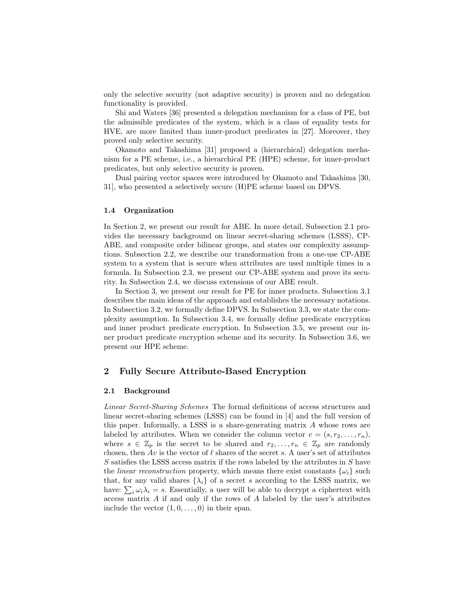only the selective security (not adaptive security) is proven and no delegation functionality is provided.

Shi and Waters [36] presented a delegation mechanism for a class of PE, but the admissible predicates of the system, which is a class of equality tests for HVE, are more limited than inner-product predicates in [27]. Moreover, they proved only selective security.

Okamoto and Takashima [31] proposed a (hierarchical) delegation mechanism for a PE scheme, i.e., a hierarchical PE (HPE) scheme, for inner-product predicates, but only selective security is proven.

Dual pairing vector spaces were introduced by Okamoto and Takashima [30, 31], who presented a selectively secure (H)PE scheme based on DPVS.

## 1.4 Organization

In Section 2, we present our result for ABE. In more detail, Subsection 2.1 provides the necessary background on linear secret-sharing schemes (LSSS), CP-ABE, and composite order bilinear groups, and states our complexity assumptions. Subsection 2.2, we describe our transformation from a one-use CP-ABE system to a system that is secure when attributes are used multiple times in a formula. In Subsection 2.3, we present our CP-ABE system and prove its security. In Subsection 2.4, we discuss extensions of our ABE result.

In Section 3, we present our result for PE for inner products. Subsection 3.1 describes the main ideas of the approach and establishes the necessary notations. In Subsection 3.2, we formally define DPVS. In Subsection 3.3, we state the complexity assumption. In Subsection 3.4, we formally define predicate encryption and inner product predicate encryption. In Subsection 3.5, we present our inner product predicate encryption scheme and its security. In Subsection 3.6, we present our HPE scheme.

# 2 Fully Secure Attribute-Based Encryption

### 2.1 Background

Linear Secret-Sharing Schemes The formal definitions of access structures and linear secret-sharing schemes (LSSS) can be found in [4] and the full version of this paper. Informally, a LSSS is a share-generating matrix A whose rows are labeled by attributes. When we consider the column vector  $v = (s, r_2, \ldots, r_n)$ , where  $s \in \mathbb{Z}_p$  is the secret to be shared and  $r_2, \ldots, r_n \in \mathbb{Z}_p$  are randomly chosen, then Av is the vector of  $\ell$  shares of the secret s. A user's set of attributes S satisfies the LSSS access matrix if the rows labeled by the attributes in S have the *linear reconstruction* property, which means there exist constants  $\{\omega_i\}$  such that, for any valid shares  $\{\lambda_i\}$  of a secret s according to the LSSS matrix, we have:  $\sum_i \omega_i \lambda_i = s$ . Essentially, a user will be able to decrypt a ciphertext with access matrix  $A$  if and only if the rows of  $A$  labeled by the user's attributes include the vector  $(1, 0, \ldots, 0)$  in their span.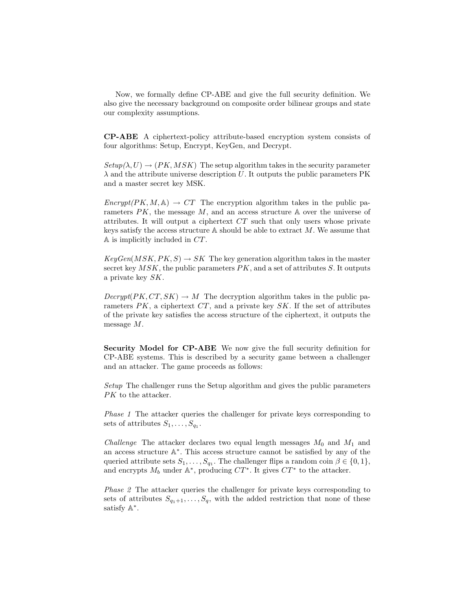Now, we formally define CP-ABE and give the full security definition. We also give the necessary background on composite order bilinear groups and state our complexity assumptions.

CP-ABE A ciphertext-policy attribute-based encryption system consists of four algorithms: Setup, Encrypt, KeyGen, and Decrypt.

 $Setup(\lambda, U) \rightarrow (PK, MSK)$  The setup algorithm takes in the security parameter  $\lambda$  and the attribute universe description U. It outputs the public parameters PK and a master secret key MSK.

 $\text{Encrypt}(PK, M, A) \rightarrow CT$  The encryption algorithm takes in the public parameters  $PK$ , the message  $M$ , and an access structure  $A$  over the universe of attributes. It will output a ciphertext  $CT$  such that only users whose private keys satisfy the access structure  $A$  should be able to extract  $M$ . We assume that A is implicitly included in CT.

 $KeyGen(MSK, PK, S) \rightarrow SK$  The key generation algorithm takes in the master secret key  $MSK$ , the public parameters  $PK$ , and a set of attributes S. It outputs a private key SK.

 $Decrypt(PK, CT, SK) \rightarrow M$  The decryption algorithm takes in the public parameters  $PK$ , a ciphertext  $CT$ , and a private key  $SK$ . If the set of attributes of the private key satisfies the access structure of the ciphertext, it outputs the message M.

Security Model for CP-ABE We now give the full security definition for CP-ABE systems. This is described by a security game between a challenger and an attacker. The game proceeds as follows:

Setup The challenger runs the Setup algorithm and gives the public parameters PK to the attacker.

Phase 1 The attacker queries the challenger for private keys corresponding to sets of attributes  $S_1, \ldots, S_{q_1}$ .

Challenge The attacker declares two equal length messages  $M_0$  and  $M_1$  and an access structure A ∗ . This access structure cannot be satisfied by any of the queried attribute sets  $S_1, \ldots, S_{q_1}$ . The challenger flips a random coin  $\beta \in \{0, 1\}$ , and encrypts  $M_b$  under  $\mathbb{A}^*$ , producing  $CT^*$ . It gives  $CT^*$  to the attacker.

Phase 2 The attacker queries the challenger for private keys corresponding to sets of attributes  $S_{q_1+1}, \ldots, S_q$ , with the added restriction that none of these satisfy  $\mathbb{A}^*$ .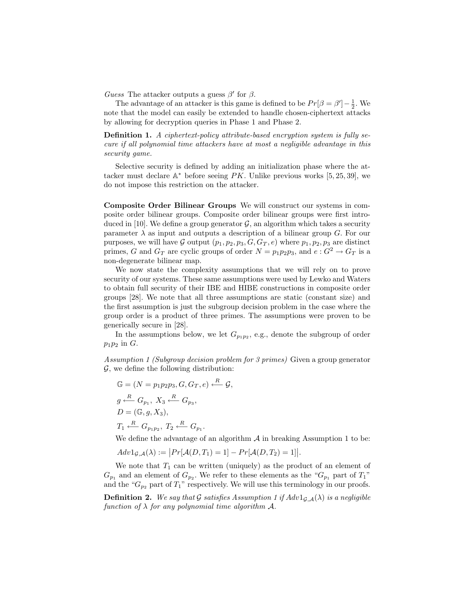Guess The attacker outputs a guess  $\beta'$  for  $\beta$ .

The advantage of an attacker is this game is defined to be  $Pr[\beta = \beta'] - \frac{1}{2}$ . We note that the model can easily be extended to handle chosen-ciphertext attacks by allowing for decryption queries in Phase 1 and Phase 2.

Definition 1. A ciphertext-policy attribute-based encryption system is fully secure if all polynomial time attackers have at most a negligible advantage in this security game.

Selective security is defined by adding an initialization phase where the attacker must declare  $\mathbb{A}^*$  before seeing PK. Unlike previous works [5, 25, 39], we do not impose this restriction on the attacker.

Composite Order Bilinear Groups We will construct our systems in composite order bilinear groups. Composite order bilinear groups were first introduced in [10]. We define a group generator  $\mathcal{G}$ , an algorithm which takes a security parameter  $\lambda$  as input and outputs a description of a bilinear group G. For our purposes, we will have G output  $(p_1, p_2, p_3, G, G_T, e)$  where  $p_1, p_2, p_3$  are distinct primes, G and  $G_T$  are cyclic groups of order  $N = p_1p_2p_3$ , and  $e: G^2 \to G_T$  is a non-degenerate bilinear map.

We now state the complexity assumptions that we will rely on to prove security of our systems. These same assumptions were used by Lewko and Waters to obtain full security of their IBE and HIBE constructions in composite order groups [28]. We note that all three assumptions are static (constant size) and the first assumption is just the subgroup decision problem in the case where the group order is a product of three primes. The assumptions were proven to be generically secure in [28].

In the assumptions below, we let  $G_{p_1p_2}$ , e.g., denote the subgroup of order  $p_1p_2$  in  $G$ .

Assumption 1 (Subgroup decision problem for 3 primes) Given a group generator  $\mathcal{G}$ , we define the following distribution:

$$
\mathbb{G} = (N = p_1 p_2 p_3, G, G_T, e) \stackrel{R}{\longleftarrow} \mathcal{G},
$$
  
\n
$$
g \stackrel{R}{\longleftarrow} G_{p_1}, X_3 \stackrel{R}{\longleftarrow} G_{p_3},
$$
  
\n
$$
D = (\mathbb{G}, g, X_3),
$$
  
\n
$$
T_1 \stackrel{R}{\longleftarrow} G_{p_1 p_2}, T_2 \stackrel{R}{\longleftarrow} G_{p_1}.
$$

We define the advantage of an algorithm  $\mathcal A$  in breaking Assumption 1 to be:

$$
Adv1_{\mathcal{G}, \mathcal{A}}(\lambda) := \big| Pr[\mathcal{A}(D, T_1) = 1] - Pr[\mathcal{A}(D, T_2) = 1] \big|.
$$

We note that  $T_1$  can be written (uniquely) as the product of an element of  $G_{p_1}$  and an element of  $G_{p_2}$ . We refer to these elements as the " $G_{p_1}$  part of  $T_1$ " and the " $G_{p_2}$  part of  $T_1$ " respectively. We will use this terminology in our proofs.

**Definition 2.** We say that G satisfies Assumption 1 if  $Adv1_{G,\mathcal{A}}(\lambda)$  is a negligible function of  $\lambda$  for any polynomial time algorithm  $\mathcal{A}$ .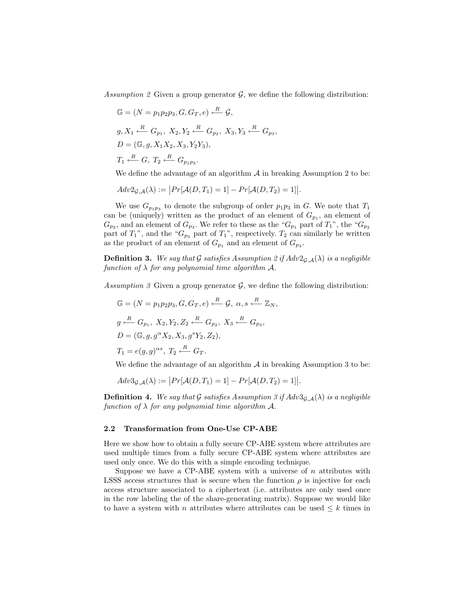Assumption 2 Given a group generator  $\mathcal{G}$ , we define the following distribution:

$$
\mathbb{G} = (N = p_1 p_2 p_3, G, G_T, e) \xleftarrow{R} \mathcal{G},
$$
\n
$$
g, X_1 \xleftarrow{R} G_{p_1}, X_2, Y_2 \xleftarrow{R} G_{p_2}, X_3, Y_3 \xleftarrow{R} G_{p_3}
$$
\n
$$
D = (\mathbb{G}, g, X_1 X_2, X_3, Y_2 Y_3),
$$
\n
$$
T_1 \xleftarrow{R} G, T_2 \xleftarrow{R} G_{p_1 p_3}.
$$

We define the advantage of an algorithm  $A$  in breaking Assumption 2 to be:

,

$$
Adv2_{\mathcal{G}, \mathcal{A}}(\lambda) := \big| Pr[\mathcal{A}(D, T_1) = 1] - Pr[\mathcal{A}(D, T_2) = 1] \big|.
$$

We use  $G_{p_1p_3}$  to denote the subgroup of order  $p_1p_3$  in G. We note that  $T_1$ can be (uniquely) written as the product of an element of  $G_{p_1}$ , an element of  $G_{p_2}$ , and an element of  $G_{p_3}$ . We refer to these as the " $G_{p_1}$  part of  $T_1$ ", the " $G_{p_2}$ part of  $T_1$ ", and the " $G_{p_3}$  part of  $T_1$ ", respectively.  $T_2$  can similarly be written as the product of an element of  $G_{p_1}$  and an element of  $G_{p_3}$ .

**Definition 3.** We say that G satisfies Assumption 2 if  $Adv2_{G,\mathcal{A}}(\lambda)$  is a negligible function of  $\lambda$  for any polynomial time algorithm A.

Assumption 3 Given a group generator  $\mathcal{G}$ , we define the following distribution:

$$
\mathbb{G} = (N = p_1 p_2 p_3, G, G_T, e) \xleftarrow{R} \mathcal{G}, \alpha, s \xleftarrow{R} \mathbb{Z}_N,
$$
  
\n
$$
g \xleftarrow{R} G_{p_1}, X_2, Y_2, Z_2 \xleftarrow{R} G_{p_2}, X_3 \xleftarrow{R} G_{p_3},
$$
  
\n
$$
D = (\mathbb{G}, g, g^{\alpha} X_2, X_3, g^s Y_2, Z_2),
$$
  
\n
$$
T_1 = e(g, g)^{\alpha s}, T_2 \xleftarrow{R} G_T.
$$

We define the advantage of an algorithm  $A$  in breaking Assumption 3 to be:

$$
Adv3_{\mathcal{G},\mathcal{A}}(\lambda) := \big| Pr[\mathcal{A}(D,T_1) = 1] - Pr[\mathcal{A}(D,T_2) = 1] \big|.
$$

**Definition 4.** We say that G satisfies Assumption 3 if  $Adv3_{\mathcal{G},\mathcal{A}}(\lambda)$  is a negligible function of  $\lambda$  for any polynomial time algorithm  $\mathcal{A}$ .

#### 2.2 Transformation from One-Use CP-ABE

Here we show how to obtain a fully secure CP-ABE system where attributes are used multiple times from a fully secure CP-ABE system where attributes are used only once. We do this with a simple encoding technique.

Suppose we have a CP-ABE system with a universe of n attributes with LSSS access structures that is secure when the function  $\rho$  is injective for each access structure associated to a ciphertext (i.e. attributes are only used once in the row labeling the of the share-generating matrix). Suppose we would like to have a system with *n* attributes where attributes can be used  $\leq k$  times in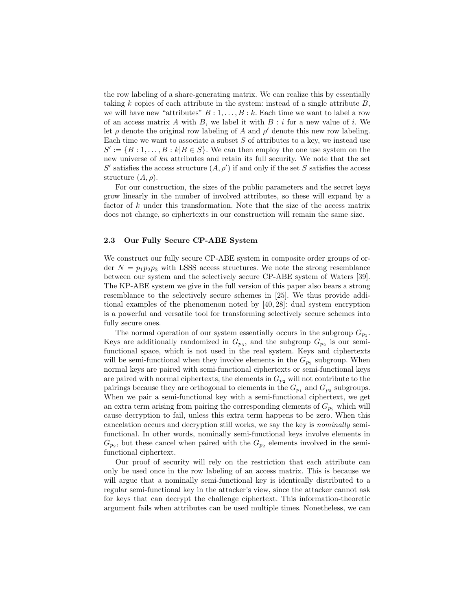the row labeling of a share-generating matrix. We can realize this by essentially taking k copies of each attribute in the system: instead of a single attribute  $B$ , we will have new "attributes"  $B: 1, \ldots, B: k$ . Each time we want to label a row of an access matrix  $A$  with  $B$ , we label it with  $B : i$  for a new value of i. We let  $\rho$  denote the original row labeling of A and  $\rho'$  denote this new row labeling. Each time we want to associate a subset  $S$  of attributes to a key, we instead use  $S' := \{B:1,\ldots,B:k|B\in S\}$ . We can then employ the one use system on the new universe of kn attributes and retain its full security. We note that the set S' satisfies the access structure  $(A, \rho')$  if and only if the set S satisfies the access structure  $(A, \rho)$ .

For our construction, the sizes of the public parameters and the secret keys grow linearly in the number of involved attributes, so these will expand by a factor of k under this transformation. Note that the size of the access matrix does not change, so ciphertexts in our construction will remain the same size.

## 2.3 Our Fully Secure CP-ABE System

We construct our fully secure CP-ABE system in composite order groups of order  $N = p_1p_2p_3$  with LSSS access structures. We note the strong resemblance between our system and the selectively secure CP-ABE system of Waters [39]. The KP-ABE system we give in the full version of this paper also bears a strong resemblance to the selectively secure schemes in [25]. We thus provide additional examples of the phenomenon noted by [40, 28]: dual system encryption is a powerful and versatile tool for transforming selectively secure schemes into fully secure ones.

The normal operation of our system essentially occurs in the subgroup  $G_{p_1}$ . Keys are additionally randomized in  $G_{p_3}$ , and the subgroup  $G_{p_2}$  is our semifunctional space, which is not used in the real system. Keys and ciphertexts will be semi-functional when they involve elements in the  $G_{p_2}$  subgroup. When normal keys are paired with semi-functional ciphertexts or semi-functional keys are paired with normal ciphertexts, the elements in  $G_{p_2}$  will not contribute to the pairings because they are orthogonal to elements in the  $G_{p_1}$  and  $G_{p_3}$  subgroups. When we pair a semi-functional key with a semi-functional ciphertext, we get an extra term arising from pairing the corresponding elements of  $G_{p_2}$  which will cause decryption to fail, unless this extra term happens to be zero. When this cancelation occurs and decryption still works, we say the key is nominally semifunctional. In other words, nominally semi-functional keys involve elements in  $G_{p_2}$ , but these cancel when paired with the  $G_{p_2}$  elements involved in the semifunctional ciphertext.

Our proof of security will rely on the restriction that each attribute can only be used once in the row labeling of an access matrix. This is because we will argue that a nominally semi-functional key is identically distributed to a regular semi-functional key in the attacker's view, since the attacker cannot ask for keys that can decrypt the challenge ciphertext. This information-theoretic argument fails when attributes can be used multiple times. Nonetheless, we can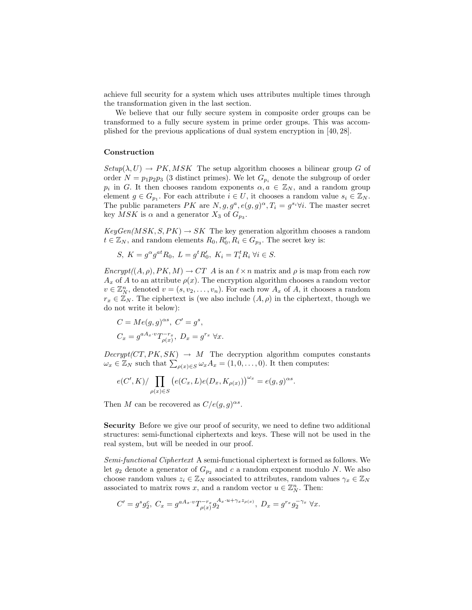achieve full security for a system which uses attributes multiple times through the transformation given in the last section.

We believe that our fully secure system in composite order groups can be transformed to a fully secure system in prime order groups. This was accomplished for the previous applications of dual system encryption in [40, 28].

#### Construction

 $Setup(\lambda, U) \rightarrow PK, MSK$  The setup algorithm chooses a bilinear group G of order  $N = p_1 p_2 p_3$  (3 distinct primes). We let  $G_{p_i}$  denote the subgroup of order  $p_i$  in G. It then chooses random exponents  $\alpha, \alpha \in \mathbb{Z}_N$ , and a random group element  $g \in G_{p_1}$ . For each attribute  $i \in U$ , it chooses a random value  $s_i \in \mathbb{Z}_N$ . The public parameters  $PK$  are  $N, g, g^a, e(g, g)^\alpha, T_i = g^{s_i} \forall i$ . The master secret key  $MSK$  is  $\alpha$  and a generator  $X_3$  of  $G_{p_3}$ .

 $KeyGen(MSK, S, PK) \rightarrow SK$  The key generation algorithm chooses a random  $t \in \mathbb{Z}_N$ , and random elements  $R_0, R'_0, R_i \in G_{p_3}$ . The secret key is:

$$
S, K = g^{\alpha} g^{at} R_0, L = g^t R'_0, K_i = T_i^t R_i \ \forall i \in S.
$$

 $\text{Encrypt}((A, \rho), PK, M) \to CT \text{ A is an } \ell \times n \text{ matrix and } \rho \text{ is map from each row }$  $A_x$  of A to an attribute  $\rho(x)$ . The encryption algorithm chooses a random vector  $v \in \mathbb{Z}_N^n$ , denoted  $v = (s, v_2, \dots, v_n)$ . For each row  $A_x$  of A, it chooses a random  $r_x \in \mathbb{Z}_N$ . The ciphertext is (we also include  $(A, \rho)$  in the ciphertext, though we do not write it below):

$$
C = Me(g, g)^{\alpha s}, C' = g^{s},
$$
  

$$
C_x = g^{aA_x \cdot v} T_{\rho(x)}^{-r_x}, D_x = g^{r_x} \forall x.
$$

 $Decrypt(CT, PK, SK) \rightarrow M$  The decryption algorithm computes constants  $\omega_x \in \mathbb{Z}_N$  such that  $\sum_{\rho(x)\in S} \omega_x A_x = (1, 0, \ldots, 0)$ . It then computes:

$$
e(C',K)/\prod_{\rho(x)\in S}\big(e(C_x,L)e(D_x,K_{\rho(x)})\big)^{\omega_x}=e(g,g)^{\alpha s}.
$$

Then M can be recovered as  $C/e(g, g)^{\alpha s}$ .

Security Before we give our proof of security, we need to define two additional structures: semi-functional ciphertexts and keys. These will not be used in the real system, but will be needed in our proof.

Semi-functional Ciphertext A semi-functional ciphertext is formed as follows. We let  $g_2$  denote a generator of  $G_{p_2}$  and c a random exponent modulo N. We also choose random values  $z_i \in \mathbb{Z}_N$  associated to attributes, random values  $\gamma_x \in \mathbb{Z}_N$ associated to matrix rows x, and a random vector  $u \in \mathbb{Z}_N^n$ . Then:

$$
C' = g^s g_2^c, \ C_x = g^{aA_x \cdot v} T_{\rho(x)}^{-r_x} g_2^{A_x \cdot u + \gamma_x z_{\rho(x)}}, \ D_x = g^{r_x} g_2^{-\gamma_x} \ \forall x.
$$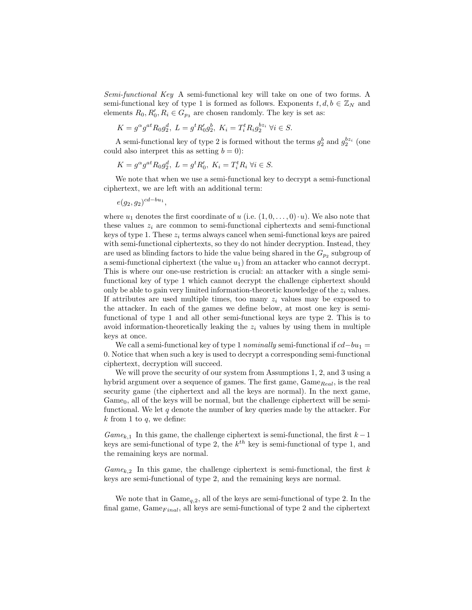Semi-functional Key A semi-functional key will take on one of two forms. A semi-functional key of type 1 is formed as follows. Exponents  $t, d, b \in \mathbb{Z}_N$  and elements  $R_0, R'_0, R_i \in G_{p_3}$  are chosen randomly. The key is set as:

$$
K = g^{\alpha}g^{at}R_0g_2^d, L = g^tR'_0g_2^b, K_i = T_i^tR_ig_2^{bz_i} \ \forall i \in S.
$$

A semi-functional key of type 2 is formed without the terms  $g_2^b$  and  $g_2^{bz_i}$  (one could also interpret this as setting  $b = 0$ :

$$
K = g^{\alpha} g^{at} R_0 g_2^d, \ L = g^t R'_0, \ K_i = T_i^t R_i \ \forall i \in S.
$$

We note that when we use a semi-functional key to decrypt a semi-functional ciphertext, we are left with an additional term:

$$
e(g_2, g_2)^{cd-bu_1},
$$

where  $u_1$  denotes the first coordinate of u (i.e.  $(1, 0, \ldots, 0) \cdot u$ ). We also note that these values  $z_i$  are common to semi-functional ciphertexts and semi-functional keys of type 1. These  $z_i$  terms always cancel when semi-functional keys are paired with semi-functional ciphertexts, so they do not hinder decryption. Instead, they are used as blinding factors to hide the value being shared in the  $G_{p_2}$  subgroup of a semi-functional ciphertext (the value  $u_1$ ) from an attacker who cannot decrypt. This is where our one-use restriction is crucial: an attacker with a single semifunctional key of type 1 which cannot decrypt the challenge ciphertext should only be able to gain very limited information-theoretic knowledge of the  $z_i$  values. If attributes are used multiple times, too many  $z_i$  values may be exposed to the attacker. In each of the games we define below, at most one key is semifunctional of type 1 and all other semi-functional keys are type 2. This is to avoid information-theoretically leaking the  $z_i$  values by using them in multiple keys at once.

We call a semi-functional key of type 1 *nominally* semi-functional if  $cd$ -bu<sub>1</sub> = 0. Notice that when such a key is used to decrypt a corresponding semi-functional ciphertext, decryption will succeed.

We will prove the security of our system from Assumptions 1, 2, and 3 using a hybrid argument over a sequence of games. The first game,  $Game_{Real}$ , is the real security game (the ciphertext and all the keys are normal). In the next game, Game<sub>0</sub>, all of the keys will be normal, but the challenge ciphertext will be semifunctional. We let  $q$  denote the number of key queries made by the attacker. For  $k$  from 1 to  $q$ , we define:

 $Game_{k,1}$  In this game, the challenge ciphertext is semi-functional, the first  $k-1$ keys are semi-functional of type 2, the  $k^{th}$  key is semi-functional of type 1, and the remaining keys are normal.

 $Game_{k,2}$  In this game, the challenge ciphertext is semi-functional, the first k keys are semi-functional of type 2, and the remaining keys are normal.

We note that in  $\text{Game}_{q,2}$ , all of the keys are semi-functional of type 2. In the final game,  $\text{Game}_{Final}$ , all keys are semi-functional of type 2 and the ciphertext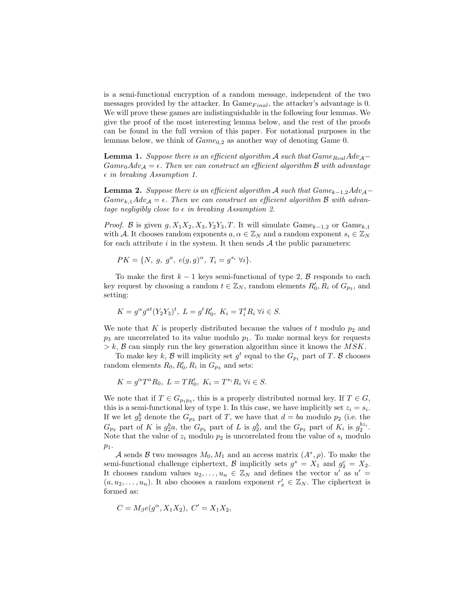is a semi-functional encryption of a random message, independent of the two messages provided by the attacker. In  $\text{Game}_{Final}$ , the attacker's advantage is 0. We will prove these games are indistinguishable in the following four lemmas. We give the proof of the most interesting lemma below, and the rest of the proofs can be found in the full version of this paper. For notational purposes in the lemmas below, we think of  $Game_{0.2}$  as another way of denoting Game 0.

**Lemma 1.** Suppose there is an efficient algorithm A such that  $Game_{Real}Adv_{\mathcal{A}}$  $Game_0Adv_{\mathcal{A}} = \epsilon$ . Then we can construct an efficient algorithm B with advantage  $\epsilon$  in breaking Assumption 1.

**Lemma 2.** Suppose there is an efficient algorithm A such that  $Game_{k-1,2}Adv_{A}$ −  $Game_{k,1}Adv_{\mathcal{A}} = \epsilon$ . Then we can construct an efficient algorithm B with advantage negligibly close to  $\epsilon$  in breaking Assumption 2.

*Proof.* B is given  $g, X_1X_2, X_3, Y_2Y_3, T$ . It will simulate  $\text{Game}_{k-1,2}$  or  $\text{Game}_{k,1}$ with A. It chooses random exponents  $a, \alpha \in \mathbb{Z}_N$  and a random exponent  $s_i \in \mathbb{Z}_N$ for each attribute  $i$  in the system. It then sends  $A$  the public parameters:

$$
PK = \{N, g, g^{a}, e(g, g)^{\alpha}, T_{i} = g^{s_{i}} \ \forall i\}.
$$

To make the first  $k-1$  keys semi-functional of type 2,  $\beta$  responds to each key request by choosing a random  $t \in \mathbb{Z}_N$ , random elements  $R'_0, R_i$  of  $G_{p_3}$ , and setting:

$$
K = g^{\alpha}g^{at}(Y_2Y_3)^t, L = g^t R'_0, K_i = T_i^t R_i \ \forall i \in S.
$$

We note that K is properly distributed because the values of t modulo  $p_2$  and  $p_3$  are uncorrelated to its value modulo  $p_1$ . To make normal keys for requests  $> k$ , B can simply run the key generation algorithm since it knows the MSK.

To make key k,  $\mathcal{B}$  will implicity set  $g^t$  equal to the  $G_{p_1}$  part of T.  $\mathcal{B}$  chooses random elements  $R_0, R'_0, R_i$  in  $G_{p_3}$  and sets:

$$
K = g^{\alpha} T^{a} R_{0}, L = T R'_{0}, K_{i} = T^{s_{i}} R_{i} \ \forall i \in S.
$$

We note that if  $T \in G_{p_1p_3}$ , this is a properly distributed normal key. If  $T \in G$ , this is a semi-functional key of type 1. In this case, we have implicitly set  $z_i = s_i$ . If we let  $g_2^b$  denote the  $G_{p_2}$  part of T, we have that  $d = ba$  modulo  $p_2$  (i.e. the  $G_{p_2}$  part of K is  $g_2^b a$ , the  $G_{p_2}$  part of L is  $g_2^b$ , and the  $G_{p_2}$  part of  $K_i$  is  $g_2^{bz_i}$ . Note that the value of  $z_i$  modulo  $p_2$  is uncorrelated from the value of  $s_i$  modulo  $p_1$ .

A sends B two messages  $M_0, M_1$  and an access matrix  $(A^*, \rho)$ . To make the semi-functional challenge ciphertext,  $\beta$  implicitly sets  $g^s = X_1$  and  $g_2^c = X_2$ . It chooses random values  $u_2, \ldots, u_n \in \mathbb{Z}_N$  and defines the vector u' as  $u' =$  $(a, u_2, \ldots, u_n)$ . It also chooses a random exponent  $r'_x \in \mathbb{Z}_N$ . The ciphertext is formed as:

$$
C = M_{\beta}e(g^{\alpha}, X_1X_2), \ C' = X_1X_2,
$$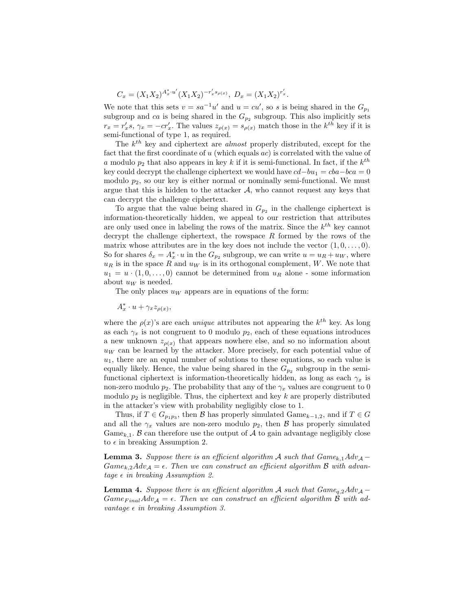$C_x = (X_1 X_2)^{A_x^* \cdot u'} (X_1 X_2)^{-r'_x s_{\rho(x)}}, \ D_x = (X_1 X_2)^{r'_x}.$ 

We note that this sets  $v = sa^{-1}u'$  and  $u = cu'$ , so s is being shared in the  $G_{p_1}$ subgroup and ca is being shared in the  $G_{p_2}$  subgroup. This also implicitly sets  $r_x = r'_x s, \gamma_x = -c r'_x$ . The values  $z_{\rho(x)} = s_{\rho(x)}$  match those in the  $k^{th}$  key if it is semi-functional of type 1, as required.

The  $k^{th}$  key and ciphertext are *almost* properly distributed, except for the fact that the first coordinate of  $u$  (which equals  $ac$ ) is correlated with the value of a modulo  $p_2$  that also appears in key k if it is semi-functional. In fact, if the  $k^{th}$ key could decrypt the challenge ciphertext we would have  $cd-bu_1 = cba-bca = 0$ modulo  $p_2$ , so our key is either normal or nominally semi-functional. We must argue that this is hidden to the attacker  $A$ , who cannot request any keys that can decrypt the challenge ciphertext.

To argue that the value being shared in  $G_{p_2}$  in the challenge ciphertext is information-theoretically hidden, we appeal to our restriction that attributes are only used once in labeling the rows of the matrix. Since the  $k^{th}$  key cannot decrypt the challenge ciphertext, the rowspace  $R$  formed by the rows of the matrix whose attributes are in the key does not include the vector  $(1, 0, \ldots, 0)$ . So for shares  $\delta_x = A_x^* \cdot u$  in the  $G_{p_2}$  subgroup, we can write  $u = u_R + u_W$ , where  $u_R$  is in the space R and  $u_W$  is in its orthogonal complement, W. We note that  $u_1 = u \cdot (1, 0, \ldots, 0)$  cannot be determined from  $u_R$  alone - some information about  $u_W$  is needed.

The only places  $u_W$  appears are in equations of the form:

 $A_x^* \cdot u + \gamma_x z_{\rho(x)},$ 

where the  $\rho(x)$ 's are each *unique* attributes not appearing the  $k^{th}$  key. As long as each  $\gamma_x$  is not congruent to 0 modulo  $p_2$ , each of these equations introduces a new unknown  $z_{\rho(x)}$  that appears nowhere else, and so no information about  $u_W$  can be learned by the attacker. More precisely, for each potential value of  $u_1$ , there are an equal number of solutions to these equations, so each value is equally likely. Hence, the value being shared in the  $G_{p_2}$  subgroup in the semifunctional ciphertext is information-theoretically hidden, as long as each  $\gamma_x$  is non-zero modulo  $p_2$ . The probability that any of the  $\gamma_x$  values are congruent to 0 modulo  $p_2$  is negligible. Thus, the ciphertext and key k are properly distributed in the attacker's view with probability negligibly close to 1.

Thus, if  $T \in G_{p_1p_3}$ , then B has properly simulated  $\text{Game}_{k-1,2}$ , and if  $T \in G$ and all the  $\gamma_x$  values are non-zero modulo  $p_2$ , then  $\beta$  has properly simulated Game<sub>k,1</sub>. B can therefore use the output of A to gain advantage negligibly close to  $\epsilon$  in breaking Assumption 2.

**Lemma 3.** Suppose there is an efficient algorithm A such that  $Game_{k,1}Adv_{\mathcal{A}}$  –  $Game_{k,2}Adv_{\mathcal{A}} = \epsilon$ . Then we can construct an efficient algorithm B with advantage  $\epsilon$  in breaking Assumption 2.

**Lemma 4.** Suppose there is an efficient algorithm A such that  $Game_{a,2}Adv_{\mathcal{A}}$  −  $Game_{Final}Adv_{\mathcal{A}} = \epsilon$ . Then we can construct an efficient algorithm B with advantage  $\epsilon$  in breaking Assumption 3.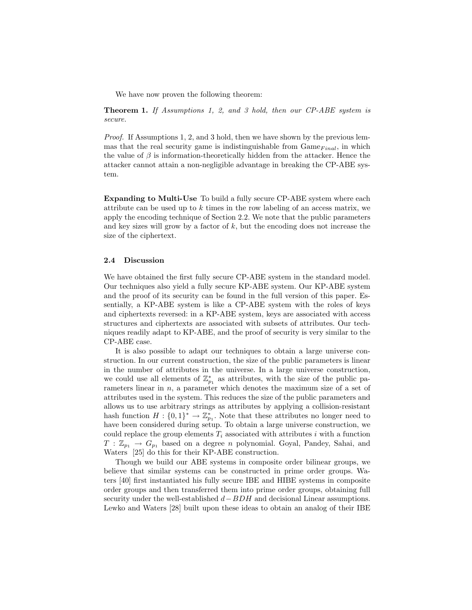We have now proven the following theorem:

Theorem 1. If Assumptions 1, 2, and 3 hold, then our CP-ABE system is secure.

Proof. If Assumptions 1, 2, and 3 hold, then we have shown by the previous lemmas that the real security game is indistinguishable from  $\text{Game}_{Final}$ , in which the value of  $\beta$  is information-theoretically hidden from the attacker. Hence the attacker cannot attain a non-negligible advantage in breaking the CP-ABE system.

Expanding to Multi-Use To build a fully secure CP-ABE system where each attribute can be used up to  $k$  times in the row labeling of an access matrix, we apply the encoding technique of Section 2.2. We note that the public parameters and key sizes will grow by a factor of  $k$ , but the encoding does not increase the size of the ciphertext.

#### 2.4 Discussion

We have obtained the first fully secure CP-ABE system in the standard model. Our techniques also yield a fully secure KP-ABE system. Our KP-ABE system and the proof of its security can be found in the full version of this paper. Essentially, a KP-ABE system is like a CP-ABE system with the roles of keys and ciphertexts reversed: in a KP-ABE system, keys are associated with access structures and ciphertexts are associated with subsets of attributes. Our techniques readily adapt to KP-ABE, and the proof of security is very similar to the CP-ABE case.

It is also possible to adapt our techniques to obtain a large universe construction. In our current construction, the size of the public parameters is linear in the number of attributes in the universe. In a large universe construction, we could use all elements of  $\mathbb{Z}_{p_1}^*$  as attributes, with the size of the public parameters linear in n, a parameter which denotes the maximum size of a set of attributes used in the system. This reduces the size of the public parameters and allows us to use arbitrary strings as attributes by applying a collision-resistant hash function  $H: \{0,1\}^* \to \mathbb{Z}_{p_1}^*$ . Note that these attributes no longer need to have been considered during setup. To obtain a large universe construction, we could replace the group elements  $T_i$  associated with attributes i with a function  $T : \mathbb{Z}_{p_1} \to G_{p_1}$  based on a degree *n* polynomial. Goyal, Pandey, Sahai, and Waters [25] do this for their KP-ABE construction.

Though we build our ABE systems in composite order bilinear groups, we believe that similar systems can be constructed in prime order groups. Waters [40] first instantiated his fully secure IBE and HIBE systems in composite order groups and then transferred them into prime order groups, obtaining full security under the well-established  $d-BDH$  and decisional Linear assumptions. Lewko and Waters [28] built upon these ideas to obtain an analog of their IBE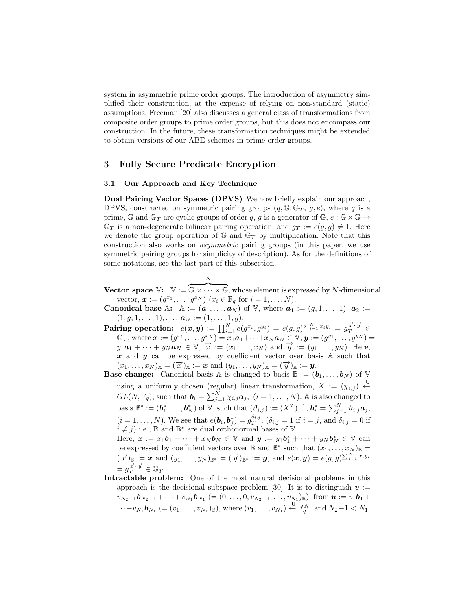system in asymmetric prime order groups. The introduction of asymmetry simplified their construction, at the expense of relying on non-standard (static) assumptions. Freeman [20] also discusses a general class of transformations from composite order groups to prime order groups, but this does not encompass our construction. In the future, these transformation techniques might be extended to obtain versions of our ABE schemes in prime order groups.

# 3 Fully Secure Predicate Encryption

## 3.1 Our Approach and Key Technique

Dual Pairing Vector Spaces (DPVS) We now briefly explain our approach, DPVS, constructed on symmetric pairing groups  $(q, \mathbb{G}, \mathbb{G}_T, q, e)$ , where q is a prime, G and  $\mathbb{G}_T$  are cyclic groups of order q, q is a generator of  $\mathbb{G}$ ,  $e : \mathbb{G} \times \mathbb{G} \to$  $\mathbb{G}_T$  is a non-degenerate bilinear pairing operation, and  $g_T := e(g, g) \neq 1$ . Here we denote the group operation of  $\mathbb{G}$  and  $\mathbb{G}_T$  by multiplication. Note that this construction also works on asymmetric pairing groups (in this paper, we use symmetric pairing groups for simplicity of description). As for the definitions of some notations, see the last part of this subsection.

N

Vector space  $\mathbb{V}: \mathbb{V} :=$  $\mathbb{G} \times \cdots \times \mathbb{G}$ , whose element is expressed by N-dimensional vector,  $\boldsymbol{x} := (g^{x_1}, \ldots, g^{x_N}) \ (x_i \in \mathbb{F}_q \text{ for } i = 1, \ldots, N).$ 

- **Canonical base** A:  $A := (a_1, \ldots, a_N)$  of V, where  $a_1 := (g, 1, \ldots, 1), a_2 :=$  $(1, g, 1, \ldots, 1), \ldots, \mathbf{a}_N := (1, \ldots, 1, g).$
- Pairing operation:  $e(\bm{x}, \bm{y}) := \prod_{i=1}^N e(g^{x_i}, g^{y_i}) = e(g, g)^{\sum_{i=1}^N x_i y_i} = g_T^{\overrightarrow{x}} \overrightarrow{y} \in$  $\mathbb{G}_T$ , where  $\bm{x} := (g^{x_1}, \ldots, g^{x_N}) = x_1 \bm{a}_1 + \cdots + x_N \bm{a}_N \in V, \bm{y} := (g^{y_1}, \ldots, g^{y_N}) =$  $y_1a_1 + \cdots + y_N a_N \in V$ ,  $\overrightarrow{x} := (x_1, \ldots, x_N)$  and  $\overrightarrow{y} := (y_1, \ldots, y_N)$ . Here,  $x$  and  $y$  can be expressed by coefficient vector over basis A such that  $(x_1, \ldots, x_N)_{\mathbb{A}} = (\overrightarrow{x})_{\mathbb{A}} := \mathbf{x} \text{ and } (y_1, \ldots, y_N)_{\mathbb{A}} = (\overrightarrow{y})_{\mathbb{A}} := \mathbf{y}.$
- **Base change:** Canonical basis A is changed to basis  $\mathbb{B} := (\boldsymbol{b}_1, \ldots, \boldsymbol{b}_N)$  of  $\mathbb{V}$ using a uniformly chosen (regular) linear transformation,  $X := (\chi_{i,j}) \stackrel{\cup}{\leftarrow}$  $GL(N, \mathbb{F}_q)$ , such that  $\mathbf{b}_i = \sum_{j=1}^N \chi_{i,j} \mathbf{a}_j$ ,  $(i = 1, ..., N)$ . A is also changed to basis  $\mathbb{B}^* := (\boldsymbol{b}_1^*, \ldots, \boldsymbol{b}_N^*)$  of V, such that  $(\vartheta_{i,j}) := (X^T)^{-1}, \boldsymbol{b}_i^* = \sum_{j=1}^N \vartheta_{i,j} \boldsymbol{a}_j$ ,  $(i=1,\ldots,N)$ . We see that  $e(\boldsymbol{b}_i, \boldsymbol{b}_j^*) = g_T^{\delta_{i,j}}, (\delta_{i,j}=1 \text{ if } i=j, \text{ and } \delta_{i,j}=0 \text{ if }$  $i \neq j$ ) i.e., B and B<sup>\*</sup> are dual orthonormal bases of V.

Here,  $\boldsymbol{x} := x_1 \boldsymbol{b}_1 + \cdots + x_N \boldsymbol{b}_N \in \mathbb{V}$  and  $\boldsymbol{y} := y_1 \boldsymbol{b}_1^* + \cdots + y_N \boldsymbol{b}_N^* \in \mathbb{V}$  can be expressed by coefficient vectors over  $\mathbb B$  and  $\mathbb B^*$  such that  $(x_1, \ldots, x_N)_{\mathbb B} =$  $(\overrightarrow{x})_{\mathbb{B}} := \mathbf{x} \text{ and } (y_1, \ldots, y_N)_{\mathbb{B}^*} = (\overrightarrow{y})_{\mathbb{B}^*} := \mathbf{y}, \text{ and } e(\mathbf{x}, \mathbf{y}) = e(g, g)^{\sum_{i=1}^N x_i y_i}$  $= g_T^{\frac{\infty}{\overrightarrow{x}} \cdot \overrightarrow{y}} \in \mathbb{G}_T.$ 

Intractable problem: One of the most natural decisional problems in this approach is the decisional subspace problem [30]. It is to distinguish  $v :=$  $v_{N_2+1}$ **b**<sub>N<sub>2</sub>+1</sub> +···+ $v_{N_1}$ **b**<sub>N<sub>1</sub></sub> (= (0, . . . , 0,  $v_{N_2+1},...,v_{N_1}$ )<sub>B</sub>), from  $u := v_1 b_1 +$  $\cdots + v_{N_1} b_{N_1} (= (v_1, \ldots, v_{N_1})_{\mathbb{B}}),$  where  $(v_1, \ldots, v_{N_1}) \stackrel{\mathsf{U}}{\leftarrow} \mathbb{F}_q^{N_1}$  and  $N_2+1 < N_1$ .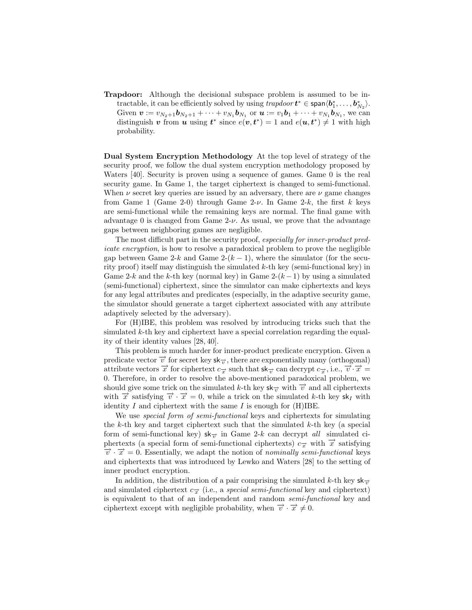Trapdoor: Although the decisional subspace problem is assumed to be intractable, it can be efficiently solved by using  $trapdoor \, \boldsymbol{t}^* \in \text{span} \langle \boldsymbol{b}_1^*, \ldots, \boldsymbol{b}_{N_2}^* \rangle.$ Given  $\bm{v} := v_{N_2+1} \bm{b}_{N_2+1} + \cdots + v_{N_1} \bm{b}_{N_1}$  or  $\bm{u} := v_1 \bm{b}_1 + \cdots + v_{N_1} \bm{b}_{N_1}$ , we can distinguish v from u using  $t^*$  since  $e(v, t^*) = 1$  and  $e(u, t^*) \neq 1$  with high probability.

Dual System Encryption Methodology At the top level of strategy of the security proof, we follow the dual system encryption methodology proposed by Waters [40]. Security is proven using a sequence of games. Game 0 is the real security game. In Game 1, the target ciphertext is changed to semi-functional. When  $\nu$  secret key queries are issued by an adversary, there are  $\nu$  game changes from Game 1 (Game 2-0) through Game 2-ν. In Game 2-k, the first k keys are semi-functional while the remaining keys are normal. The final game with advantage 0 is changed from Game  $2-\nu$ . As usual, we prove that the advantage gaps between neighboring games are negligible.

The most difficult part in the security proof, especially for inner-product predicate encryption, is how to resolve a paradoxical problem to prove the negligible gap between Game 2-k and Game 2-( $k-1$ ), where the simulator (for the security proof) itself may distinguish the simulated  $k$ -th key (semi-functional key) in Game 2-k and the k-th key (normal key) in Game 2- $(k-1)$  by using a simulated (semi-functional) ciphertext, since the simulator can make ciphertexts and keys for any legal attributes and predicates (especially, in the adaptive security game, the simulator should generate a target ciphertext associated with any attribute adaptively selected by the adversary).

For (H)IBE, this problem was resolved by introducing tricks such that the simulated  $k$ -th key and ciphertext have a special correlation regarding the equality of their identity values [28, 40].

This problem is much harder for inner-product predicate encryption. Given a predicate vector  $\vec{v}$  for secret key  $\mathbf{s}k_{\vec{v}}$ , there are exponentially many (orthogonal) attribute vectors  $\vec{x}$  for ciphertext  $c_{\vec{x}}$  such that  $\mathsf{sk}_{\vec{v}}$  can decrypt  $c_{\vec{x}}$ , i.e.,  $\vec{v} \cdot \vec{x} =$ 0. Therefore, in order to resolve the above-mentioned paradoxical problem, we should give some trick on the simulated k-th key sk<sub> $\vec{v}$ </sub> with  $\vec{v}$  and all ciphertexts with  $\vec{x}$  satisfying  $\vec{v} \cdot \vec{x} = 0$ , while a trick on the simulated k-th key sk<sub>I</sub> with identity  $I$  and ciphertext with the same  $I$  is enough for  $(H)$  IBE.

We use *special form of semi-functional* keys and ciphertexts for simulating the k-th key and target ciphertext such that the simulated  $k$ -th key (a special form of semi-functional key)  $\mathsf{sk}_{\overrightarrow{v}}$  in Game 2-k can decrypt all simulated ciphertexts (a special form of semi-functional ciphertexts)  $c_{\vec{x}}$  with  $\vec{x}$  satisfying  $\overrightarrow{v} \cdot \overrightarrow{x} = 0$ . Essentially, we adapt the notion of nominally semi-functional keys and ciphertexts that was introduced by Lewko and Waters [28] to the setting of inner product encryption.

In addition, the distribution of a pair comprising the simulated k-th key sk<sub> $\vec{v}$ </sub> and simulated ciphertext  $c_{\overrightarrow{x}}$  (i.e., a special semi-functional key and ciphertext) is equivalent to that of an independent and random semi-functional key and ciphertext except with negligible probability, when  $\vec{v} \cdot \vec{x} \neq 0$ .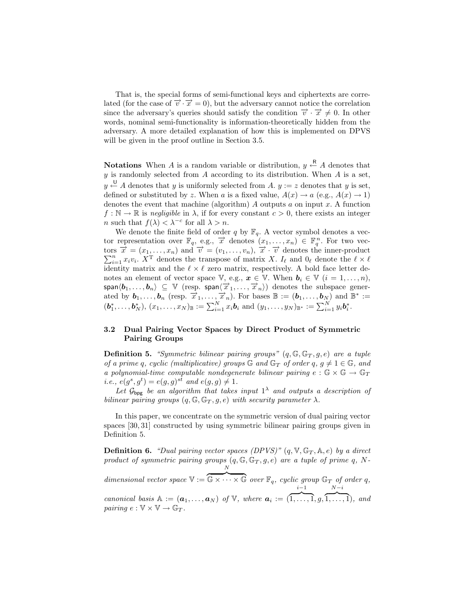That is, the special forms of semi-functional keys and ciphertexts are correlated (for the case of  $\vec{v} \cdot \vec{x} = 0$ ), but the adversary cannot notice the correlation since the adversary's queries should satisfy the condition  $\vec{v} \cdot \vec{x} \neq 0$ . In other words, nominal semi-functionality is information-theoretically hidden from the adversary. A more detailed explanation of how this is implemented on DPVS will be given in the proof outline in Section 3.5.

**Notations** When A is a random variable or distribution,  $y \stackrel{\mathbb{R}}{\leftarrow} A$  denotes that  $y$  is randomly selected from  $A$  according to its distribution. When  $A$  is a set,  $y \stackrel{\bigcup}{\leftarrow} A$  denotes that y is uniformly selected from A.  $y := z$  denotes that y is set, defined or substituted by z. When a is a fixed value,  $A(x) \rightarrow a$  (e.g.,  $A(x) \rightarrow 1$ ) denotes the event that machine (algorithm)  $\tilde{A}$  outputs  $\alpha$  on input  $\tilde{x}$ . A function  $f : \mathbb{N} \to \mathbb{R}$  is negligible in  $\lambda$ , if for every constant  $c > 0$ , there exists an integer *n* such that  $f(\lambda) < \lambda^{-c}$  for all  $\lambda > n$ .

We denote the finite field of order q by  $\mathbb{F}_q$ . A vector symbol denotes a vector representation over  $\mathbb{F}_q$ , e.g.,  $\overrightarrow{x}$  denotes  $(x_1, \ldots, x_n) \in \mathbb{F}_q^n$ . For two vectors  $\overrightarrow{x} = (x_1, \ldots, x_n)$  and  $\overrightarrow{v} = (v_1, \ldots, v_n)$ ,  $\overrightarrow{x} \cdot \overrightarrow{v}$  denotes the inner-product P  $\overrightarrow{x}$  denotes the inner-product<br>  $\overrightarrow{x}$  is  $\overrightarrow{x}$  = (x<sub>1</sub>, ..., x<sub>n</sub>) and  $\overrightarrow{v}$  = (v<sub>1</sub>, ..., v<sub>n</sub>),  $\overrightarrow{x}$  ·  $\overrightarrow{v}$  denotes the inner-product<br>  $\overrightarrow{n}$  i<sub>i=1</sub> x<sub>i</sub>v<sub>i</sub>. X<sup>T</sup> denotes the transpose of matrix X. I<sub></sub> identity matrix and the  $\ell \times \ell$  zero matrix, respectively. A bold face letter denotes an element of vector space V, e.g.,  $x \in V$ . When  $b_i \in V$   $(i = 1, \ldots, n)$ ,  $\text{span}\langle b_1, \ldots, b_n \rangle \subseteq \mathbb{V}$  (resp.  $\text{span}\langle \vec{x}_1, \ldots, \vec{x}_n \rangle$ ) denotes the subspace generated by  $b_1, \ldots, b_n$  (resp.  $\vec{x}_1, \ldots, \vec{x}_n$ ). For bases  $\mathbb{B} := (b_1, \ldots, b_N)$  and  $\mathbb{B}^* :=$  $(\boldsymbol{b}_1^*, \ldots, \boldsymbol{b}_N^*)$ ,  $(x_1, \ldots, x_N)_{\mathbb{B}} := \sum_{i=1}^N x_i \boldsymbol{b}_i$  and  $(y_1, \ldots, y_N)_{\mathbb{B}^*} := \sum_{i=1}^N y_i \boldsymbol{b}_i^*$ .

# 3.2 Dual Pairing Vector Spaces by Direct Product of Symmetric Pairing Groups

**Definition 5.** "Symmetric bilinear pairing groups"  $(q, \mathbb{G}, \mathbb{G}_T, g, e)$  are a tuple of a prime q, cyclic (multiplicative) groups  $\mathbb{G}$  and  $\mathbb{G}_T$  of order q,  $g \neq 1 \in \mathbb{G}$ , and a polynomial-time computable nondegenerate bilinear pairing  $e : \mathbb{G} \times \mathbb{G} \to \mathbb{G}_T$ *i.e.*,  $e(g^s, g^t) = e(g, g)^{st}$  and  $e(g, g) \neq 1$ .

Let  $\mathcal{G}_{\text{bpg}}$  be an algorithm that takes input  $1^{\lambda}$  and outputs a description of bilinear pairing groups  $(q, \mathbb{G}, \mathbb{G}_T, g, e)$  with security parameter  $\lambda$ .

In this paper, we concentrate on the symmetric version of dual pairing vector spaces [30, 31] constructed by using symmetric bilinear pairing groups given in Definition 5.

**Definition 6.** "Dual pairing vector spaces  $(DPVS)$ "  $(q, \mathbb{V}, \mathbb{G}_T, \mathbb{A}, e)$  by a direct product of symmetric pairing groups  $(q, \mathbb{G}, \mathbb{G}_T, g, e)$  are a tuple of prime q, Ndimensional vector space  $V :=$ N  $\overline{\mathbb{G} \times \cdots \times \mathbb{G}}$  over  $\mathbb{F}_q$ , cyclic group  $\mathbb{G}_T$  of order q, i−1  $N-i$ 

canonical basis  $\mathbb{A} := (\boldsymbol{a}_1, \dots, \boldsymbol{a}_N)$  of  $\mathbb{V}$ , where  $\boldsymbol{a}_i := ($  $\overline{1, \ldots, 1}, g,$  $\overline{1, \ldots, 1}$ , and pairing  $e : \mathbb{V} \times \mathbb{V} \to \mathbb{G}_T$ .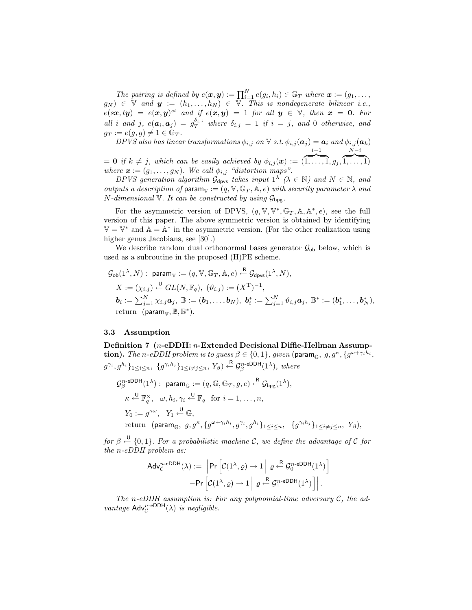The pairing is defined by  $e(\mathbf{x}, \mathbf{y}) := \prod_{i=1}^{N} e(g_i, h_i) \in \mathbb{G}_T$  where  $\mathbf{x} := (g_1, \ldots, g_n)$  $g_N$ )  $\in$  V and  $\mathbf{y}$  :=  $(h_1, \ldots, h_N)$   $\in$  V. This is nondegenerate bilinear i.e.,  $e(s\bm{x}, t\bm{y}) = e(\bm{x}, \bm{y})^{st}$  and if  $e(\bm{x}, \bm{y}) = 1$  for all  $\bm{y} \in \mathbb{V}$ , then  $\bm{x} = \bm{0}$ . For all i and j,  $e(a_i, a_j) = g_T^{\delta_{i,j}}$  where  $\delta_{i,j} = 1$  if  $i = j$ , and 0 otherwise, and  $g_T := e(g, g) \neq 1 \in \mathbb{G}_T$ .

DPVS also has linear transformations  $\phi_{i,j}$  on V s.t.  $\phi_{i,j}(\boldsymbol{a}_j) = \boldsymbol{a}_i$  and  $\phi_{i,j}(\boldsymbol{a}_k)$  $= 0$  if  $k \neq j$ , which can be easily achieved by  $\phi_{i,j} (\boldsymbol{x}) := ($ i−1  $\overline{1, \ldots, 1}, g_j,$  $N-i$  $\overline{1, \ldots, 1}$ where  $\boldsymbol{x} := (g_1, \ldots, g_N)$ . We call  $\phi_{i,j}$  "distortion maps".

DPVS generation algorithm  $\mathcal{G}_{\text{dups}}$  takes input  $1^{\lambda}$  ( $\lambda \in \mathbb{N}$ ) and  $N \in \mathbb{N}$ , and outputs a description of param<sub>V</sub> :=  $(q, \mathbb{V}, \mathbb{G}_T, \mathbb{A}, e)$  with security parameter  $\lambda$  and N-dimensional V. It can be constructed by using  $\mathcal{G}_{\text{bpg}}$ .

For the asymmetric version of DPVS,  $(q, \mathbb{V}, \mathbb{V}^*, \mathbb{G}_T, \mathbb{A}, \mathbb{A}^*, e)$ , see the full version of this paper. The above symmetric version is obtained by identifying  $V = V^*$  and  $A = A^*$  in the asymmetric version. (For the other realization using higher genus Jacobians, see [30].)

We describe random dual orthonormal bases generator  $\mathcal{G}_{ob}$  below, which is used as a subroutine in the proposed (H)PE scheme.

$$
\mathcal{G}_{\text{ob}}(1^{\lambda}, N): \text{ param}_{\mathbb{V}} := (q, \mathbb{V}, \mathbb{G}_T, \mathbb{A}, e) \xleftarrow{\mathbb{R}} \mathcal{G}_{\text{dpvs}}(1^{\lambda}, N),
$$
\n
$$
X := (\chi_{i,j}) \xleftarrow{\mathbb{U}} GL(N, \mathbb{F}_q), \ (\vartheta_{i,j}) := (X^T)^{-1},
$$
\n
$$
\mathbf{b}_i := \sum_{j=1}^N \chi_{i,j} \mathbf{a}_j, \ \mathbb{B} := (\mathbf{b}_1, \dots, \mathbf{b}_N), \ \mathbf{b}_i^* := \sum_{j=1}^N \vartheta_{i,j} \mathbf{a}_j, \ \mathbb{B}^* := (\mathbf{b}_1^*, \dots, \mathbf{b}_N^*),
$$
\nreturn 
$$
(\text{param}_{\mathbb{V}}, \mathbb{B}, \mathbb{B}^*).
$$

#### 3.3 Assumption

Definition 7 (n-eDDH: n-Extended Decisional Diffie-Hellman Assump**tion).** The n-eDDH problem is to guess  $\beta \in \{0,1\}$ , given (param<sub>G</sub>,  $g, g^{\kappa}, \{g^{\omega+\gamma_i h_i}, g^{\omega} \}$  $g^{\gamma_i}, g^{h_i}\}_{1\leq i\leq n}$ ,  $\{g^{\gamma_i h_j}\}_{1\leq i\neq j\leq n}$ ,  $Y_\beta$ )  $\leftarrow^{\mathsf{R}} \mathcal{G}_{\beta}^{n\text{-eDDH}}(1^\lambda)$ , where

$$
\begin{split} \mathcal{G}^{n\text{-}\mathrm{eDDH}}_\beta(1^\lambda): \ \mathsf{param}_{\mathbb{G}} &:= (q, \mathbb{G}, \mathbb{G}_T, g, e) \xleftarrow{\mathbb{R}} \mathcal{G}_{\mathrm{bpg}}(1^\lambda), \\ &\kappa \xleftarrow{\mathsf{U}} \mathbb{F}_q^\times, \quad \omega, h_i, \gamma_i \xleftarrow{\mathsf{U}} \mathbb{F}_q \quad \text{for } i = 1, \dots, n, \\ Y_0 &:= g^{\kappa \omega}, \quad Y_1 \xleftarrow{\mathsf{U}} \mathbb{G}, \\ \text{return } (\mathsf{param}_{\mathbb{G}}, \ g, g^\kappa, \{g^{\omega + \gamma_i h_i}, g^{\gamma_i}, g^{h_i}\}_{1\leq i \leq n}, \quad \{g^{\gamma_i h_j}\}_{1\leq i \neq j \leq n}, \quad Y_\beta), \end{split}
$$

for  $\beta \stackrel{\cup}{\leftarrow} \{0,1\}$ . For a probabilistic machine C, we define the advantage of C for the n-eDDH problem as:

$$
Adv_{\mathcal{C}}^{n\text{-eDDH}}(\lambda) := \left| \Pr \left[ \mathcal{C}(1^{\lambda}, \varrho) \to 1 \middle| \varrho \stackrel{\text{R}}{\leftarrow} \mathcal{G}_0^{n\text{-eDDH}}(1^{\lambda}) \right] - \Pr \left[ \mathcal{C}(1^{\lambda}, \varrho) \to 1 \middle| \varrho \stackrel{\text{R}}{\leftarrow} \mathcal{G}_1^{n\text{-eDDH}}(1^{\lambda}) \right] \right|.
$$

The n-eDDH assumption is: For any polynomial-time adversary  $C$ , the advantage  $\mathsf{Adv}_{\mathcal{C}}^{n-\mathsf{eDDH}}(\lambda)$  is negligible.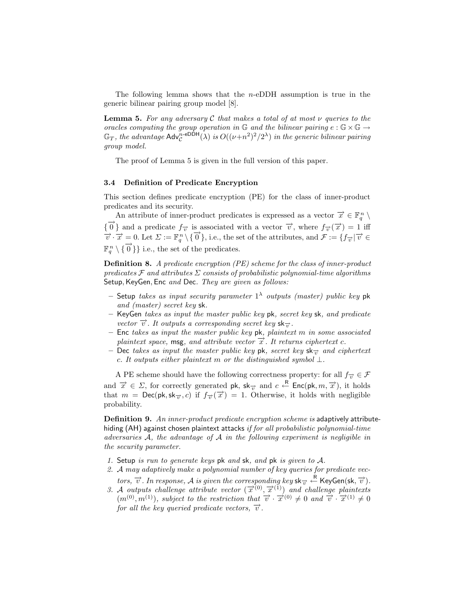The following lemma shows that the n-eDDH assumption is true in the generic bilinear pairing group model [8].

**Lemma 5.** For any adversary C that makes a total of at most  $\nu$  queries to the oracles computing the group operation in G and the bilinear pairing  $e : \mathbb{G} \times \mathbb{G} \to$  $\mathbb{G}_T$ , the advantage  $\mathsf{Adv}^{n\text{-}\mathsf{eDDH}}_{{\mathcal{C}}}(\lambda)$  is  $O((\nu+n^2)^2/2^\lambda)$  in the generic bilinear pairing group model.

The proof of Lemma 5 is given in the full version of this paper.

## 3.4 Definition of Predicate Encryption

This section defines predicate encryption (PE) for the class of inner-product predicates and its security.

An attribute of inner-product predicates is expressed as a vector  $\vec{x} \in \mathbb{F}_q^n \setminus$  $\{\vec{0}\}\$ and a predicate  $f_{\vec{v}}$  is associated with a vector  $\vec{v}$ , where  $f_{\vec{v}}(\vec{x}) = 1$  iff  $\vec{v} \cdot \vec{x} = 0$ . Let  $\Sigma := \mathbb{F}_q^n \setminus \{\vec{0}\}\)$ , i.e., the set of the attributes, and  $\mathcal{F} := \{f_{\vec{v}} | \vec{v} \in \mathbb{F}_q \}$  $\mathbb{F}_q^n \setminus {\overrightarrow{0}}$  i.e., the set of the predicates.

Definition 8. A predicate encryption (PE) scheme for the class of inner-product predicates  $\mathcal F$  and attributes  $\Sigma$  consists of probabilistic polynomial-time algorithms Setup, KeyGen, Enc and Dec. They are given as follows:

- Setup takes as input security parameter  $1^{\lambda}$  outputs (master) public key pk and (master) secret key sk.
- KeyGen takes as input the master public key pk, secret key sk, and predicate vector  $\overrightarrow{v}$ . It outputs a corresponding secret key  $sk_{\overrightarrow{v}}$ .
- $-$  Enc takes as input the master public key pk, plaintext m in some associated plaintext space, msg, and attribute vector  $\vec{x}$ . It returns ciphertext c.
- Dec takes as input the master public key pk, secret key sk<sub> $⊤$ </sub> and ciphertext c. It outputs either plaintext m or the distinguished symbol  $\bot$ .

A PE scheme should have the following correctness property: for all  $f_{\overrightarrow{v}} \in \mathcal{F}$ and  $\vec{x} \in \Sigma$ , for correctly generated pk, sk<sub> $\vec{v}$ </sub> and  $c \stackrel{R}{\leftarrow} \text{Enc}(pk, m, \vec{x})$ , it holds that  $m = \text{Dec}(pk, sk_{\overline{v}}, c)$  if  $f_{\overline{v}}(\overline{x}) = 1$ . Otherwise, it holds with negligible probability.

Definition 9. An inner-product predicate encryption scheme is adaptively attributehiding (AH) against chosen plaintext attacks *if for all probabilistic polynomial-time* adversaries  $A$ , the advantage of  $A$  in the following experiment is negligible in the security parameter.

- 1. Setup is run to generate keys pk and sk, and pk is given to A.
- 2. A may adaptively make a polynomial number of key queries for predicate vectors,  $\overrightarrow{v}$ . In response, A is given the corresponding key sk $_{\overrightarrow{v}} \leftarrow$ KeyGen(sk,  $\overrightarrow{v}$ ).
- 3. A outputs challenge attribute vector  $(\vec{x}^{(0)}, \vec{x}^{(1)})$  and challenge plaintexts  $(m^{(0)}, m^{(1)})$ , subject to the restriction that  $\overrightarrow{v} \cdot \overrightarrow{x}^{(0)} \neq 0$  and  $\overrightarrow{v} \cdot \overrightarrow{x}^{(1)} \neq 0$ for all the key queried predicate vectors,  $\vec{v}$ .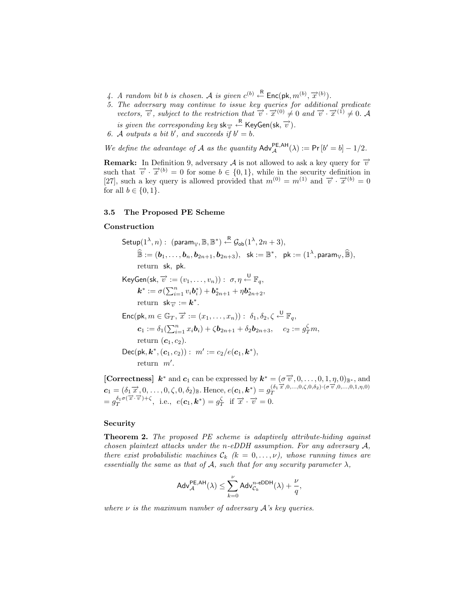- 4. A random bit b is chosen. A is given  $c^{(b)} \stackrel{\mathsf{R}}{\leftarrow} \mathsf{Enc}(\mathsf{pk}, m^{(b)}, \overrightarrow{x}^{(b)})$ .
- 5. The adversary may continue to issue key queries for additional predicate vectors,  $\vec{v}$ , subject to the restriction that  $\vec{v} \cdot \vec{x}^{(0)} \neq 0$  and  $\vec{v} \cdot \vec{x}^{(1)} \neq 0$ . A is given the corresponding key  $\mathsf{sk}_{\overrightarrow{v}} \overset{\mathsf{R}}{\leftarrow} \mathsf{KeyGen}(\mathsf{sk}, \overrightarrow{v})$ .
- 6. A outputs a bit b', and succeeds if  $b' = b$ .

We define the advantage of A as the quantity  $\mathsf{Adv}_{\mathcal{A}}^{\mathsf{PE},\mathsf{AH}}(\lambda) := \mathsf{Pr}\left[b' = b\right] - 1/2.$ 

**Remark:** In Definition 9, adversary A is not allowed to ask a key query for  $\vec{v}$ such that  $\vec{v} \cdot \vec{x}^{(b)} = 0$  for some  $b \in \{0,1\}$ , while in the security definition in [27], such a key query is allowed provided that  $m^{(0)} = m^{(1)}$  and  $\vec{v} \cdot \vec{x}^{(b)} = 0$ for all  $b \in \{0, 1\}.$ 

# 3.5 The Proposed PE Scheme

#### Construction

Setup(1<sup>λ</sup>, n): (param<sub>W</sub>, B, B<sup>\*</sup>) 
$$
\leftarrow^R \mathcal{G}_{ob}(1^{\lambda}, 2n + 3),
$$

\n $\widehat{\mathbb{B}} := (\mathbf{b}_1, \ldots, \mathbf{b}_n, \mathbf{b}_{2n+1}, \mathbf{b}_{2n+3}), \quad \text{sk} := B^*, \quad \text{pk} := (1^{\lambda}, \text{param}_{\mathbb{V}}, \widehat{\mathbb{B}}),$  return sk, pk.

\nKeyGen(sk,  $\overrightarrow{v} := (v_1, \ldots, v_n) : \sigma, \eta \leftarrow^U \mathbb{F}_q,$ 

\n $\mathbf{k}^* := \sigma(\sum_{i=1}^n v_i \mathbf{b}_i^*) + \mathbf{b}_{2n+1}^* + \eta \mathbf{b}_{2n+2}^*,$  return  $\text{sk}_{\overrightarrow{v}} := \mathbf{k}^*.$ 

\nEnc(pk, m ∈  $\mathbb{G}_T, \overrightarrow{x} := (x_1, \ldots, x_n) : \delta_1, \delta_2, \zeta \leftarrow^U \mathbb{F}_q,$ 

\n $c_1 := \delta_1(\sum_{i=1}^n x_i \mathbf{b}_i) + \zeta \mathbf{b}_{2n+1} + \delta_2 \mathbf{b}_{2n+3}, \quad c_2 := g_T^{\zeta} m,$  return  $(c_1, c_2).$ 

\nDec(pk,  $\mathbf{k}^*, (c_1, c_2) : m' := c_2/e(c_1, \mathbf{k}^*),$  return  $m'.$ 

[Correctness]  $k^*$  and  $c_1$  can be expressed by  $k^* = (\sigma \vec{v}, 0, \ldots, 0, 1, \eta, 0)_{\mathbb{B}^*}$ , and  $c_1 = (\delta_1 \vec{x}, 0, \ldots, 0, \zeta, 0, \delta_2)_{\mathbb{B}}$ . Hence,  $e(c_1, \mathbf{k}^*) = g_T^{(\delta_1 \vec{x}, 0, \ldots, 0, \zeta, 0, \delta_2) \cdot (\sigma \vec{v}, 0, \ldots, 0, 1, \eta, 0)}$  $=g_T^{\delta_1\sigma(\vec{x}\cdot\vec{v})+\zeta}$ , i.e.,  $e(\mathbf{c}_1,\mathbf{k}^*)=g_T^{\zeta}$  if  $\vec{x}\cdot\vec{v}=0$ .

## Security

Theorem 2. The proposed PE scheme is adaptively attribute-hiding against chosen plaintext attacks under the n-eDDH assumption. For any adversary  $A$ , there exist probabilistic machines  $\mathcal{C}_k$  ( $k = 0, \ldots, \nu$ ), whose running times are essentially the same as that of A, such that for any security parameter  $\lambda$ ,

$$
\mathsf{Adv}_{\mathcal{A}}^{\mathsf{PE},\mathsf{AH}}(\lambda) \leq \sum_{k=0}^{\nu} \mathsf{Adv}_{\mathcal{C}_k}^{n\text{-}\mathsf{eDDH}}(\lambda) + \frac{\nu}{q},
$$

where  $\nu$  is the maximum number of adversary  $A$ 's key queries.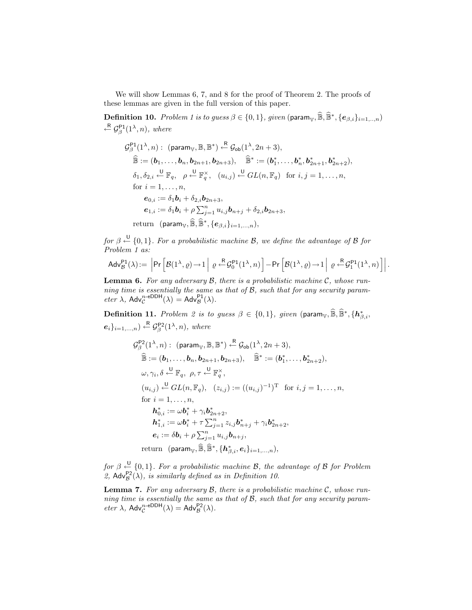We will show Lemmas 6, 7, and 8 for the proof of Theorem 2. The proofs of these lemmas are given in the full version of this paper.

**Definition 10.** Problem 1 is to guess  $\beta \in \{0,1\}$ , given  $(\textsf{param}_{\mathbb{V}}, \widehat{\mathbb{B}}, \widehat{\mathbb{B}}^*, \{\boldsymbol{e}_{\beta,i}\}_{i=1,..,n})$  $\stackrel{\text{R}}{\leftarrow} \mathcal{G}_{\beta}^{\text{P1}}(1^{\lambda}, n)$ , where

$$
\mathcal{G}_{\beta}^{\mathsf{P1}}(1^{\lambda},n): (\text{param}_{\mathbb{V}},\mathbb{B},\mathbb{B}^*) \xleftarrow{\mathsf{R}} \mathcal{G}_{\mathsf{ob}}(1^{\lambda},2n+3),
$$
  
\n
$$
\widehat{\mathbb{B}} := (\mathbf{b}_1,\ldots,\mathbf{b}_n,\mathbf{b}_{2n+1},\mathbf{b}_{2n+3}), \quad \widehat{\mathbb{B}}^* := (\mathbf{b}_1^*,\ldots,\mathbf{b}_n^*,\mathbf{b}_{2n+1}^*,\mathbf{b}_{2n+2}^*),
$$
  
\n
$$
\delta_1, \delta_{2,i} \xleftarrow{\mathsf{U}} \mathbb{F}_q, \quad \rho \xleftarrow{\mathsf{U}} \mathbb{F}_q^{\times}, \quad (u_{i,j}) \xleftarrow{\mathsf{U}} GL(n,\mathbb{F}_q) \text{ for } i,j=1,\ldots,n,
$$
  
\nfor  $i = 1,\ldots,n,$   
\n
$$
\mathbf{e}_{0,i} := \delta_1 \mathbf{b}_i + \delta_{2,i} \mathbf{b}_{2n+3},
$$
  
\n
$$
\mathbf{e}_{1,i} := \delta_1 \mathbf{b}_i + \rho \sum_{j=1}^n u_{i,j} \mathbf{b}_{n+j} + \delta_{2,i} \mathbf{b}_{2n+3},
$$
  
\nreturn 
$$
(\text{param}_{\mathbb{V}}, \widehat{\mathbb{B}}, \widehat{\mathbb{B}}^*, \{\mathbf{e}_{\beta,i}\}_{i=1,\ldots,n}),
$$

for  $\beta \stackrel{\cup}{\leftarrow} \{0,1\}$ . For a probabilistic machine B, we define the advantage of B for Problem 1 as:

$$
\mathsf{Adv}^{\mathsf{P1}}_{\mathcal{B}}(\lambda) := \ \Big|\mathsf{Pr}\left[\mathcal{B}(1^\lambda,\varrho) \to 1\ \Big|\ \varrho \stackrel{\mathsf{R}}{\leftarrow} \mathcal{G}_0^{\mathsf{P1}}(1^\lambda,n)\right] - \mathsf{Pr}\left[\mathcal{B}(1^\lambda,\varrho) \to 1\ \Big|\ \varrho \stackrel{\mathsf{R}}{\leftarrow} \mathcal{G}_1^{\mathsf{P1}}(1^\lambda,n)\right]\right|.
$$

**Lemma 6.** For any adversary  $\mathcal{B}$ , there is a probabilistic machine  $\mathcal{C}$ , whose running time is essentially the same as that of B, such that for any security param*eter*  $\lambda$ ,  $\mathsf{Adv}_{\mathcal{C}}^{n-\mathsf{eDDH}}(\lambda) = \mathsf{Adv}_{\mathcal{B}}^{\mathsf{P1}}(\lambda)$ .

**Definition 11.** Problem 2 is to guess  $\beta \in \{0,1\}$ , given  $(\textsf{param}_{\mathbb{V}}, \widehat{\mathbb{B}}, \widehat{\mathbb{B}}^*, \{\bm{h}_{\beta,i}^*,$  $e_i\}_{i=1,\ldots,n}$   $\in \mathcal{G}_{\beta}^{\mathsf{P2}}(1^{\lambda},n)$ , where

$$
\mathcal{G}_{\beta}^{\mathsf{P2}}(1^{\lambda}, n): (\text{param}_{\mathbb{V}}, \mathbb{B}, \mathbb{B}^*) \xleftarrow{\mathsf{R}} \mathcal{G}_{\mathsf{ob}}(1^{\lambda}, 2n+3),
$$
  
\n
$$
\widehat{\mathbb{B}} := (\mathbf{b}_1, \dots, \mathbf{b}_n, \mathbf{b}_{2n+1}, \mathbf{b}_{2n+3}), \quad \widehat{\mathbb{B}}^* := (\mathbf{b}_1^*, \dots, \mathbf{b}_{2n+2}^*),
$$
  
\n
$$
\omega, \gamma_i, \delta \xleftarrow{\mathsf{U}} \mathbb{F}_q, \ \rho, \tau \xleftarrow{\mathsf{U}} \mathbb{F}_q^{\times},
$$
  
\n
$$
(u_{i,j}) \xleftarrow{\mathsf{U}} GL(n, \mathbb{F}_q), \ (z_{i,j}) := ((u_{i,j})^{-1})^{\mathrm{T}} \ \text{ for } i, j = 1, \dots, n,
$$
  
\nfor  $i = 1, \dots, n,$   
\n
$$
\mathbf{b}_{0,i}^* := \omega \mathbf{b}_i^* + \gamma_i \mathbf{b}_{2n+2}^*,
$$
  
\n
$$
\mathbf{b}_{1,i}^* := \omega \mathbf{b}_i^* + \tau \sum_{j=1}^n z_{i,j} \mathbf{b}_{n+j}^* + \gamma_i \mathbf{b}_{2n+2}^*,
$$
  
\n
$$
\mathbf{e}_i := \delta \mathbf{b}_i + \rho \sum_{j=1}^n u_{i,j} \mathbf{b}_{n+j},
$$
  
\nreturn 
$$
(\text{param}_{\mathbb{V}}, \widehat{\mathbb{B}}, \widehat{\mathbb{B}}^*, \{\mathbf{h}_{\beta,i}^*, \mathbf{e}_i\}_{i=1, \dots, n}),
$$

for  $\beta \stackrel{\cup}{\leftarrow} \{0,1\}$ . For a probabilistic machine B, the advantage of B for Problem 2,  $\operatorname{Adv}_{\mathcal{B}}^{\mathsf{P2}}(\lambda)$ , is similarly defined as in Definition 10.

**Lemma 7.** For any adversary  $\mathcal{B}$ , there is a probabilistic machine  $\mathcal{C}$ , whose running time is essentially the same as that of B, such that for any security param*eter*  $\lambda$ ,  $\mathsf{Adv}_{\mathcal{C}}^{n-\mathsf{eDDH}}(\lambda) = \mathsf{Adv}_{\mathcal{B}}^{\mathsf{P2}}(\lambda)$ .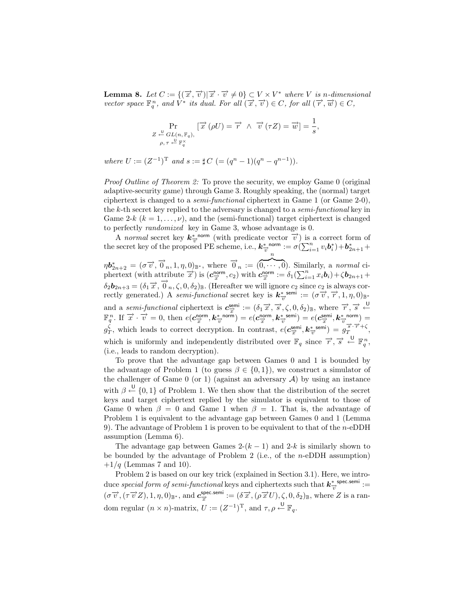**Lemma 8.** Let  $C := \{(\overrightarrow{x}, \overrightarrow{v}) | \overrightarrow{x} \cdot \overrightarrow{v} \neq 0\} \subset V \times V^*$  where V is n-dimensional vector space  $\mathbb{F}_q^n$ , and  $V^*$  its dual. For all  $(\vec{x}, \vec{v}) \in C$ , for all  $(\vec{r}, \vec{w}) \in C$ ,

$$
\Pr_{\substack{Z \downarrow \\ \rho, \tau \downarrow \Gamma_{\widetilde{q}}^{\times} \\ \rho, \tau \downarrow \Gamma_{\widetilde{q}}^{\times}}} \left[ \overrightarrow{x} \left( \rho U \right) = \overrightarrow{r} \ \wedge \ \overrightarrow{v} \left( \tau Z \right) = \overrightarrow{w} \right] = \frac{1}{s},
$$

where  $U := (Z^{-1})^T$  and  $s := \sharp C = (q^n - 1)(q^n - q^{n-1}).$ 

Proof Outline of Theorem 2: To prove the security, we employ Game 0 (original adaptive-security game) through Game 3. Roughly speaking, the (normal) target ciphertext is changed to a *semi-functional* ciphertext in Game  $1$  (or Game 2-0), the k-th secret key replied to the adversary is changed to a semi-functional key in Game 2-k  $(k = 1, \ldots, \nu)$ , and the (semi-functional) target ciphertext is changed to perfectly randomized key in Game 3, whose advantage is 0.

A normal secret key  $k_{\overrightarrow{v}}^*$  norm (with predicate vector  $\overrightarrow{v}$ ) is a correct form of the secret key of the proposed PE scheme, i.e.,  $k_{\overrightarrow{v}}^*_{n}^{\text{norm}} := \sigma(\sum_{i=1}^n v_i b_i^*) + b_{2n+1}^* +$ 

 $\eta \boldsymbol{b}_{2n+2}^* = (\sigma \overrightarrow{v}, \overrightarrow{0}_n, 1, \eta, 0)_{\mathbb{B}^*}$ , where  $\overrightarrow{0}_n := (\overrightarrow{0}, \cdots, 0)$ . Similarly, a normal ci-<br>phertext (with attribute  $\overrightarrow{x}$ ) is  $(c_{\overrightarrow{x}}^{\text{norm}}, c_2)$  with  $c_{\overrightarrow{x}}^{\text{norm}} := \delta_1(\sum_{i=1}^n x_i \boldsymbol{b}_i) + \zeta \boldsymbol{b}_{2$  $\delta_2$ **b**<sub>2n+3</sub> =  $(\delta_1 \vec{x}, \vec{0}_n, \zeta, 0, \delta_2)$ <sub>B</sub>. (Hereafter we will ignore  $c_2$  since  $c_2$  is always correctly generated.) A semi-functional secret key is  $k_{\overrightarrow{v}}^*$ <sup>\*</sup> =  $(\sigma \overrightarrow{v}, \overrightarrow{r}, 1, \eta, 0)_{\mathbb{B}^*}$ <sup>\*</sup> and a *semi-functional* ciphertext is  $c_{\overrightarrow{x}}^{\text{semi}} := (\delta_1 \overrightarrow{x}, \overrightarrow{s}, \zeta, 0, \delta_2)_{\mathbb{B}}$ , where  $\overrightarrow{r}, \overrightarrow{s} \stackrel{\cup}{\leftarrow}$  $\mathbb{F}_q^n$ . If  $\overrightarrow{x} \cdot \overrightarrow{v} = 0$ , then  $e(c_{\overrightarrow{x}}^{\text{norm}}, k_{\overrightarrow{v}}^* \text{norm}) = e(c_{\overrightarrow{x}}^{\text{norm}}, k_{\overrightarrow{v}}^* \text{norm}) = e(c_{\overrightarrow{x}}^{\text{norm}}, k_{\overrightarrow{v}}^* \text{norm}) =$  $g_T^{\zeta}$ , which leads to correct decryption. In contrast,  $e(e_{\vec{x}}^{\text{semi}}, k_{\vec{v}}^{\text{semi}}) = g_T^{\vec{s} \cdot \vec{r}} + \zeta$ , which is uniformly and independently distributed over  $\mathbb{F}_q$  since  $\overrightarrow{r}, \overrightarrow{s} \in \mathbb{F}_q^n$ , (i.e., leads to random decryption).

To prove that the advantage gap between Games 0 and 1 is bounded by the advantage of Problem 1 (to guess  $\beta \in \{0,1\}$ ), we construct a simulator of the challenger of Game 0 (or 1) (against an adversary  $A$ ) by using an instance with  $\beta \stackrel{U}{\leftarrow} \{0,1\}$  of Problem 1. We then show that the distribution of the secret keys and target ciphertext replied by the simulator is equivalent to those of Game 0 when  $\beta = 0$  and Game 1 when  $\beta = 1$ . That is, the advantage of Problem 1 is equivalent to the advantage gap between Games 0 and 1 (Lemma 9). The advantage of Problem 1 is proven to be equivalent to that of the n-eDDH assumption (Lemma 6).

The advantage gap between Games  $2-(k-1)$  and  $2-k$  is similarly shown to be bounded by the advantage of Problem 2 (i.e., of the  $n$ -eDDH assumption)  $+1/q$  (Lemmas 7 and 10).

Problem 2 is based on our key trick (explained in Section 3.1). Here, we introduce special form of semi-functional keys and ciphertexts such that  $k^*_{\overrightarrow{v}}$  spec.semi :=  $(\sigma \overrightarrow{v}, (\tau \overrightarrow{v} Z), 1, \eta, 0)_{\mathbb{B}^*}$ , and  $\mathbf{c}_{\overrightarrow{x}}^{\mathsf{spec.semi}} := (\delta \overrightarrow{x}, (\rho \overrightarrow{x} U), \zeta, 0, \delta_2)_{\mathbb{B}}$ , where Z is a random regular  $(n \times n)$ -matrix,  $U := (Z^{-1})^T$ , and  $\tau, \rho \stackrel{\cup}{\leftarrow} \mathbb{F}_q$ .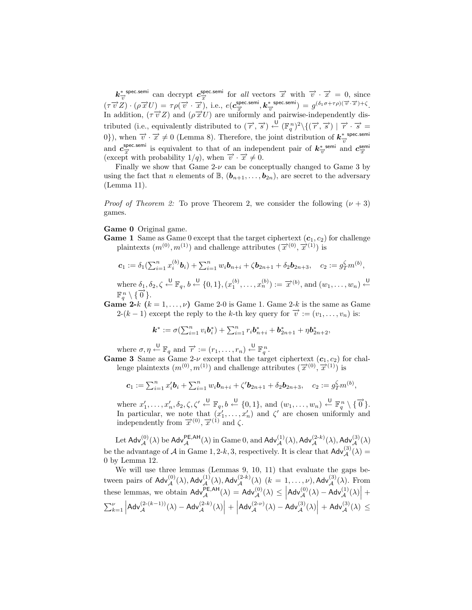$k_{\overrightarrow{v}}^*$  spec.semi can decrypt  $c_{\overrightarrow{x}}^{\text{spec.semi}}$  for all vectors  $\overrightarrow{x}$  with  $\overrightarrow{v} \cdot \overrightarrow{x} = 0$ , since  $(\tau \vec{v} \vec{Z}) \cdot (\rho \vec{x} U) = \tau \rho (\vec{v} \cdot \vec{x})$ , i.e.,  $e(c_{\vec{x}}^{\text{spec.semi}}, \mathbf{k}_{\vec{v}}^{\text{spec.semi}}) = g^{(\delta_1 \sigma + \tau \rho)(\vec{v} \cdot \vec{x}) + \zeta}$ . In addition,  $(\tau \vec{v} Z)$  and  $(\rho \vec{x} U)$  are uniformly and pairwise-independently distributed (i.e., equivalently distributed to  $(\vec{r}, \vec{s}) \stackrel{\mathsf{U}}{\leftarrow} (\mathbb{F}_q^n)^2 \setminus \{(\vec{r}, \vec{s}) | \vec{r} \cdot \vec{s} =$ 0}), when  $\vec{v} \cdot \vec{x} \neq 0$  (Lemma 8). Therefore, the joint distribution of  $k_{\vec{v}}^*$  spec.semi and  $c^{\text{spec.semi}}_{\overrightarrow{x}}$  is equivalent to that of an independent pair of  $k^*_{\overrightarrow{v}}$  and  $c^{\text{semi}}_{\overrightarrow{x}}$ (except with probability  $1/q$ ), when  $\vec{v} \cdot \vec{x} \neq 0$ .

Finally we show that Game  $2-\nu$  can be conceptually changed to Game 3 by using the fact that n elements of  $\mathbb{B}$ ,  $(b_{n+1}, \ldots, b_{2n})$ , are secret to the adversary (Lemma 11).

*Proof of Theorem 2:* To prove Theorem 2, we consider the following  $(\nu + 3)$ games.

## Game 0 Original game.

**Game 1** Same as Game 0 except that the target ciphertext  $(c_1, c_2)$  for challenge plaintexts  $(m^{(0)}, m^{(1)})$  and challenge attributes  $(\vec{x}^{(0)}, \vec{x}^{(1)})$  is

$$
\mathbf{c}_1 := \delta_1(\sum_{i=1}^n x_i^{(b)} \mathbf{b}_i) + \sum_{i=1}^n w_i \mathbf{b}_{n+i} + \zeta \mathbf{b}_{2n+1} + \delta_2 \mathbf{b}_{2n+3}, \quad c_2 := g_T^{\zeta} m^{(b)},
$$

where  $\delta_1, \delta_2, \zeta \stackrel{\cup}{\leftarrow} \mathbb{F}_q$ ,  $b \stackrel{\cup}{\leftarrow} \{0,1\}$ ,  $(x_1^{(b)}, \ldots, x_n^{(b)}) := \overrightarrow{x}^{(b)}$ , and  $(w_1, \ldots, w_n) \stackrel{\cup}{\leftarrow}$  $\mathbb{F}_q^n \setminus {\overrightarrow{0}}.$ 

**Game 2-**k  $(k = 1, ..., \nu)$  Game 2-0 is Game 1. Game 2-k is the same as Game 2- $(k-1)$  except the reply to the k-th key query for  $\overrightarrow{v} := (v_1, \ldots, v_n)$  is:

$$
\mathbf{k}^* := \sigma(\sum_{i=1}^n v_i \mathbf{b}_i^*) + \sum_{i=1}^n r_i \mathbf{b}_{n+i}^* + \mathbf{b}_{2n+1}^* + \eta \mathbf{b}_{2n+2}^*,
$$

where  $\sigma, \eta \stackrel{\cup}{\leftarrow} \mathbb{F}_q$  and  $\overrightarrow{r} := (r_1, \ldots, r_n) \stackrel{\cup}{\leftarrow} \mathbb{F}_q^n$ .

**Game 3** Same as Game 2- $\nu$  except that the target ciphertext  $(c_1, c_2)$  for challenge plaintexts  $(m^{(0)}, m^{(1)})$  and challenge attributes  $(\vec{x}^{(0)}, \vec{x}^{(1)})$  is

$$
c_1 := \sum_{i=1}^n x_i' b_i + \sum_{i=1}^n w_i b_{n+i} + \zeta' b_{2n+1} + \delta_2 b_{2n+3}, \quad c_2 := g_T^{\zeta} m^{(b)},
$$

where  $x'_1, \ldots, x'_n, \delta_2, \zeta, \zeta' \stackrel{\cup}{\leftarrow} \mathbb{F}_q, b \stackrel{\cup}{\leftarrow} \{0, 1\}$ , and  $(w_1, \ldots, w_n) \stackrel{\cup}{\leftarrow} \mathbb{F}_q^n \setminus \{\overrightarrow{0}\}$ . In particular, we note that  $(x'_1, \ldots, x'_n)$  and  $\zeta'$  are chosen uniformly and independently from  $\vec{x}^{(0)}, \vec{x}^{(1)}$  and  $\zeta$ .

Let  $\mathsf{Adv}_{\mathcal{A}}^{(0)}(\lambda)$  be  $\mathsf{Adv}_{\mathcal{A}}^{\mathsf{PE},\mathsf{AH}}(\lambda)$  in  $\mathrm{Game}\, 0, \, \text{and} \, \mathsf{Adv}_{\mathcal{A}}^{(1)}(\lambda), \mathsf{Adv}_{\mathcal{A}}^{(2-k)}(\lambda), \mathsf{Adv}_{\mathcal{A}}^{(3)}(\lambda)$ be the advantage of A in Game 1, 2-k, 3, respectively. It is clear that  $\mathsf{Adv}^{(3)}_{\mathcal{A}}(\lambda)$  = 0 by Lemma 12.

We will use three lemmas (Lemmas 9, 10, 11) that evaluate the gaps between pairs of  $\mathsf{Adv}^{(0)}_{\mathcal{A}}(\lambda), \mathsf{Adv}^{(1)}_{\mathcal{A}}(\lambda), \mathsf{Adv}^{(2-k)}_{\mathcal{A}}(\lambda)$   $(k = 1, \ldots, \nu), \mathsf{Adv}^{(3)}_{\mathcal{A}}(\lambda)$ . From these lemmas, we obtain  $\mathsf{Adv}_{\mathcal{A}}^{\mathsf{PE},\mathsf{AH}}(\lambda) = \mathsf{Adv}_{\mathcal{A}}^{(0)}(\lambda) \leq \left| \mathsf{Adv}_{\mathcal{A}}^{(0)}(\lambda) - \mathsf{Adv}_{\mathcal{A}}^{(1)}(\lambda) \right| +$  $\sum_{k=1}^{\nu} \left| \mathsf{Adv}^{(2-(k-1))}_{\mathcal{A}}(\lambda) - \mathsf{Adv}^{(2-k)}_{\mathcal{A}}(\lambda) \right| + \left| \mathsf{Adv}^{(2-\nu)}_{\mathcal{A}}(\lambda) - \mathsf{Adv}^{(3)}_{\mathcal{A}}(\lambda) \right| + \mathsf{Adv}^{(3)}_{\mathcal{A}}(\lambda) \leq$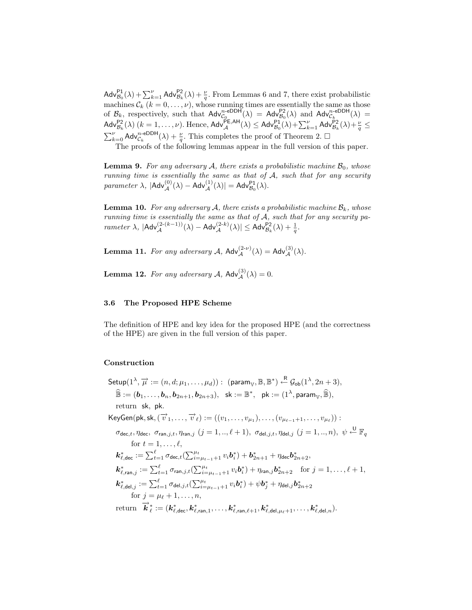$\mathsf{Adv}_{\mathcal{B}_0}^{\mathsf{P1}}(\lambda) + \sum_{k=1}^{\nu} \mathsf{Adv}_{\mathcal{B}_k}^{\mathsf{P2}}(\lambda) + \frac{\nu}{q}$ . From Lemmas 6 and 7, there exist probabilistic machines  $\mathcal{C}_k$   $(k = 0, \ldots, \nu)$ , whose running times are essentially the same as those of  $\mathcal{B}_k$ , respectively, such that  $\mathsf{Adv}_{\mathcal{C}_0}^{n-\text{eDDH}}(\lambda) = \mathsf{Adv}_{\mathcal{B}_0}^{P2}(\lambda)$  and  $\mathsf{Adv}_{\mathcal{C}_k}^{n-\text{eDDH}}(\lambda) =$  $\mathsf{Adv}_{\mathcal{B}_k}^{\mathsf{P2}}(\lambda) \ (k=1,\ldots,\nu). \ \text{Hence,} \ \mathsf{Adv}_{\mathcal{A}}^{\mathsf{PE},\mathsf{AH}}(\lambda) \leq \mathsf{Adv}_{\mathcal{B}_0}^{\mathsf{P1}}(\lambda) + \sum_{k=1}^{\nu} \mathsf{Adv}_{\mathcal{B}_k}^{\mathsf{P2}}(\lambda) + \frac{\nu}{q} \leq$  $\sum_{k=0}^{\nu}$  Adv<sup>n-eDDH</sup>( $\lambda$ ) +  $\frac{\nu}{q}$ . This completes the proof of Theorem 2.  $\Box$ 

The proofs of the following lemmas appear in the full version of this paper.

**Lemma 9.** For any adversary A, there exists a probabilistic machine  $\mathcal{B}_0$ , whose running time is essentially the same as that of A, such that for any security  $parameter \lambda$ ,  $|Adv_{\mathcal{A}}^{(0)}(\lambda) - Adv_{\mathcal{A}}^{(1)}(\lambda)| = Adv_{\mathcal{B}_0}^{P_1}(\lambda)$ .

**Lemma 10.** For any adversary A, there exists a probabilistic machine  $\mathcal{B}_k$ , whose running time is essentially the same as that of A, such that for any security pa- $\textit{rameter } \lambda, \ |\mathsf{Adv}_{\mathcal{A}}^{(2-(k-1))}(\lambda) - \mathsf{Adv}_{\mathcal{A}}^{(2-k)}(\lambda)| \leq \mathsf{Adv}_{\mathcal{B}_k}^{\mathsf{P2}}(\lambda) + \frac{1}{q}.$ 

**Lemma 11.** For any adversary  $A$ ,  $\mathsf{Adv}_{\mathcal{A}}^{(2-\nu)}(\lambda) = \mathsf{Adv}_{\mathcal{A}}^{(3)}(\lambda)$ .

**Lemma 12.** For any adversary  $A$ ,  $\mathsf{Adv}_{\mathcal{A}}^{(3)}(\lambda) = 0$ .

# 3.6 The Proposed HPE Scheme

The definition of HPE and key idea for the proposed HPE (and the correctness of the HPE) are given in the full version of this paper.

## Construction

$$
\begin{aligned}\n\text{Setup}(1^{\lambda}, \overrightarrow{\mu} &:= (n, d; \mu_1, \dots, \mu_d)) : (\text{param}_{\mathbb{V}}, \mathbb{B}, \mathbb{B}^*) \xleftarrow{\mathbb{R}} \mathcal{G}_{\text{ob}}(1^{\lambda}, 2n+3), \\
\widehat{\mathbb{B}} &:= (\mathbf{b}_1, \dots, \mathbf{b}_n, \mathbf{b}_{2n+1}, \mathbf{b}_{2n+3}), \quad \text{sk} := \mathbb{B}^*, \quad \text{pk} := (1^{\lambda}, \text{param}_{\mathbb{V}}, \widehat{\mathbb{B}}), \\
\text{return } \text{sk}, \quad \text{pk}. \\
\text{KeyGen}(\text{pk}, \text{sk}, (\overrightarrow{v}_1, \dots, \overrightarrow{v}_\ell) &:= ((v_1, \dots, v_{\mu_1}), \dots, (v_{\mu_{\ell-1}+1}, \dots, v_{\mu_\ell})) : \\
\sigma_{\text{dec},t}, \eta_{\text{dec}}, \quad \sigma_{\text{ran},j,t}, \eta_{\text{ran},j} \ (j=1, \dots, \ell+1), \quad \sigma_{\text{del},j,t}, \eta_{\text{del},j} \ (j=1, \dots, n), \quad \psi \xleftarrow{\mathbb{B}} \mathbb{F}_q \\
\text{for } t=1, \dots, \ell, \\
\mathbf{k}_{\ell, \text{dec}}^* &:= \sum_{\ell=1}^\ell \sigma_{\text{dec},\ell} (\sum_{i=\mu_{t-1}+1}^{\mu_t} v_i \mathbf{b}_i^*) + \mathbf{b}_{2n+1}^* + \eta_{\text{dec}} \mathbf{b}_{2n+2}^*, \\
\mathbf{k}_{\ell, \text{ran},j}^* &:= \sum_{t=1}^\ell \sigma_{\text{ran},j,t} (\sum_{i=\mu_{t-1}+1}^{\mu_t} v_i \mathbf{b}_i^*) + \eta_{\text{ran},j} \mathbf{b}_{2n+2}^* \quad \text{for } j=1, \dots, \ell+1, \\
\mathbf{k}_{\ell, \text{del},j}^* &:= \sum_{t=1}^\ell \sigma_{\text{del},j,t} (\sum_{i=\mu_{t-1}+1}^{\mu_t} v_i \mathbf{b}_i^*) + \psi \mathbf{b}_j^* + \eta_{\text{del},j} \mathbf{b}_{2n+2}^* \\
\text{
$$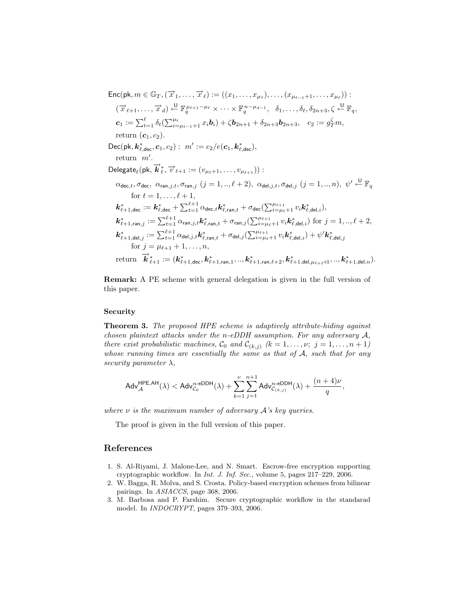Enc(
$$
\rho k, m \in \mathbb{G}_T, (\vec{x}_1, ..., \vec{x}_\ell) := ((x_1, ..., x_{\mu_1}), ..., (x_{\mu_{\ell-1}+1}, ..., x_{\mu_{\ell}}))
$$
:  
\n
$$
(\vec{x}_{\ell+1}, ..., \vec{x}_d) \stackrel{\cup}{\leftarrow} \mathbb{F}_q^{\mu_{\ell+1} - \mu_{\ell}} \times ... \times \mathbb{F}_q^{n-\mu_{d-1}}, \delta_1, ..., \delta_\ell, \delta_{2n+3}, \zeta \stackrel{\cup}{\leftarrow} \mathbb{F}_q,
$$
\n
$$
c_1 := \sum_{t=1}^{\ell} \delta_t (\sum_{i=\mu_{t-1}+1}^{\mu_{t}} x_i \mathbf{b}_i) + \zeta \mathbf{b}_{2n+1} + \delta_{2n+3} \mathbf{b}_{2n+3}, \quad c_2 := g_T^{\zeta} m,
$$
\nreturn ( $c_1, c_2$ ).  
\nDec( $\rho k, k_{\ell,dec}^*, c_1, c_2$ ) :  $m' := c_2/e(c_1, k_{\ell,dec}^*)$ ,  
\nreturn  $m'.$   
\nDelegate $\ell(\rho k, \vec{k}_{\ell}^*, \vec{v}_{\ell+1} := (v_{\mu_{\ell}+1}, ..., v_{\mu_{\ell+1}}))$ :  
\n $\alpha_{dec,t}, \sigma_{dec}, \alpha_{ran,j,t}, \sigma_{ran,j} \ (j = 1, ..., \ell + 2), \alpha_{del,j,t}, \sigma_{del,j} \ (j = 1, ..., n), \ \psi' \stackrel{\cup}{\leftarrow} \mathbb{F}_q$   
\nfor  $t = 1, ..., \ell + 1$ ,  
\n
$$
k_{\ell+1,dec}^* := k_{\ell,dec}^* + \sum_{t=1}^{\ell+1} \alpha_{dec,t} k_{\ell,ran,t}^* + \sigma_{dec} (\sum_{i=\mu_{\ell}+1}^{\mu_{\ell+1}} v_i k_{\ell,del,i}^*)
$$
,  
\n
$$
k_{\ell+1,ran,j}^* := \sum_{t=1}^{\ell+1} \alpha_{ran,j,t} k_{\ell,ran,t}^* + \sigma_{ran,j} (\sum_{i=\mu_{\ell}+1}^{\mu_{\ell+1}} v_i k_{\ell,del,i}^*)
$$
 for  $j = 1$ 

Remark: A PE scheme with general delegation is given in the full version of this paper.

#### Security

Theorem 3. The proposed HPE scheme is adaptively attribute-hiding against chosen plaintext attacks under the n-eDDH assumption. For any adversary  $A$ , there exist probabilistic machines,  $C_0$  and  $C_{(k,j)}$   $(k = 1, \ldots, \nu; j = 1, \ldots, n+1)$ whose running times are essentially the same as that of  $A$ , such that for any security parameter  $\lambda$ ,

$$
\mathsf{Adv}_{\mathcal{A}}^{\mathsf{HPE},\mathsf{AH}}(\lambda)<\mathsf{Adv}_{\mathcal{C}_0}^{n\text{-eDDH}}(\lambda)+\sum_{k=1}^{\nu}\sum_{j=1}^{n+1}\mathsf{Adv}_{\mathcal{C}_{(k,j)}}^{n\text{-eDDH}}(\lambda)+\frac{(n+4)\nu}{q},
$$

where  $\nu$  is the maximum number of adversary  $A$ 's key queries.

The proof is given in the full version of this paper.

# References

- 1. S. Al-Riyami, J. Malone-Lee, and N. Smart. Escrow-free encryption supporting cryptographic workflow. In Int. J. Inf. Sec., volume 5, pages 217–229, 2006.
- 2. W. Bagga, R. Molva, and S. Crosta. Policy-based encryption schemes from bilinear pairings. In ASIACCS, page 368, 2006.
- 3. M. Barbosa and P. Farshim. Secure cryptographic workflow in the standarad model. In INDOCRYPT, pages 379–393, 2006.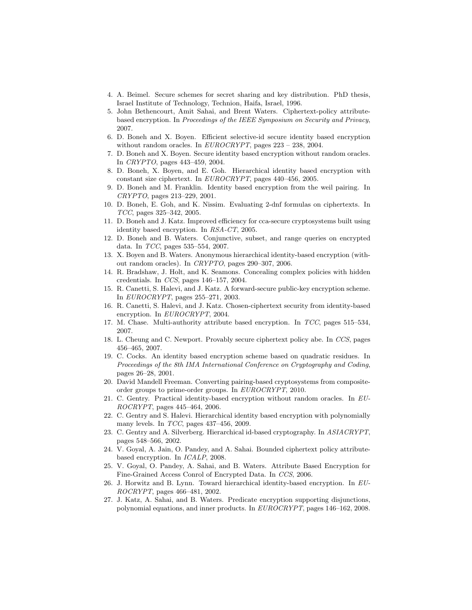- 4. A. Beimel. Secure schemes for secret sharing and key distribution. PhD thesis, Israel Institute of Technology, Technion, Haifa, Israel, 1996.
- 5. John Bethencourt, Amit Sahai, and Brent Waters. Ciphertext-policy attributebased encryption. In Proceedings of the IEEE Symposium on Security and Privacy, 2007.
- 6. D. Boneh and X. Boyen. Efficient selective-id secure identity based encryption without random oracles. In  $EUROCRYPT$ , pages  $223 - 238$ , 2004.
- 7. D. Boneh and X. Boyen. Secure identity based encryption without random oracles. In CRYPTO, pages 443–459, 2004.
- 8. D. Boneh, X. Boyen, and E. Goh. Hierarchical identity based encryption with constant size ciphertext. In EUROCRYPT, pages 440–456, 2005.
- 9. D. Boneh and M. Franklin. Identity based encryption from the weil pairing. In CRYPTO, pages 213–229, 2001.
- 10. D. Boneh, E. Goh, and K. Nissim. Evaluating 2-dnf formulas on ciphertexts. In TCC, pages 325–342, 2005.
- 11. D. Boneh and J. Katz. Improved efficiency for cca-secure cryptosystems built using identity based encryption. In RSA-CT, 2005.
- 12. D. Boneh and B. Waters. Conjunctive, subset, and range queries on encrypted data. In TCC, pages 535–554, 2007.
- 13. X. Boyen and B. Waters. Anonymous hierarchical identity-based encryption (without random oracles). In CRYPTO, pages 290–307, 2006.
- 14. R. Bradshaw, J. Holt, and K. Seamons. Concealing complex policies with hidden credentials. In CCS, pages 146–157, 2004.
- 15. R. Canetti, S. Halevi, and J. Katz. A forward-secure public-key encryption scheme. In EUROCRYPT, pages 255–271, 2003.
- 16. R. Canetti, S. Halevi, and J. Katz. Chosen-ciphertext security from identity-based encryption. In *EUROCRYPT*, 2004.
- 17. M. Chase. Multi-authority attribute based encryption. In TCC, pages 515–534, 2007.
- 18. L. Cheung and C. Newport. Provably secure ciphertext policy abe. In CCS, pages 456–465, 2007.
- 19. C. Cocks. An identity based encryption scheme based on quadratic residues. In Proceedings of the 8th IMA International Conference on Cryptography and Coding, pages 26–28, 2001.
- 20. David Mandell Freeman. Converting pairing-based cryptosystems from compositeorder groups to prime-order groups. In EUROCRYPT, 2010.
- 21. C. Gentry. Practical identity-based encryption without random oracles. In EU-ROCRYPT, pages 445–464, 2006.
- 22. C. Gentry and S. Halevi. Hierarchical identity based encryption with polynomially many levels. In TCC, pages 437-456, 2009.
- 23. C. Gentry and A. Silverberg. Hierarchical id-based cryptography. In ASIACRYPT, pages 548–566, 2002.
- 24. V. Goyal, A. Jain, O. Pandey, and A. Sahai. Bounded ciphertext policy attributebased encryption. In ICALP, 2008.
- 25. V. Goyal, O. Pandey, A. Sahai, and B. Waters. Attribute Based Encryption for Fine-Grained Access Conrol of Encrypted Data. In CCS, 2006.
- 26. J. Horwitz and B. Lynn. Toward hierarchical identity-based encryption. In EU-ROCRYPT, pages 466–481, 2002.
- 27. J. Katz, A. Sahai, and B. Waters. Predicate encryption supporting disjunctions, polynomial equations, and inner products. In EUROCRYPT, pages 146–162, 2008.